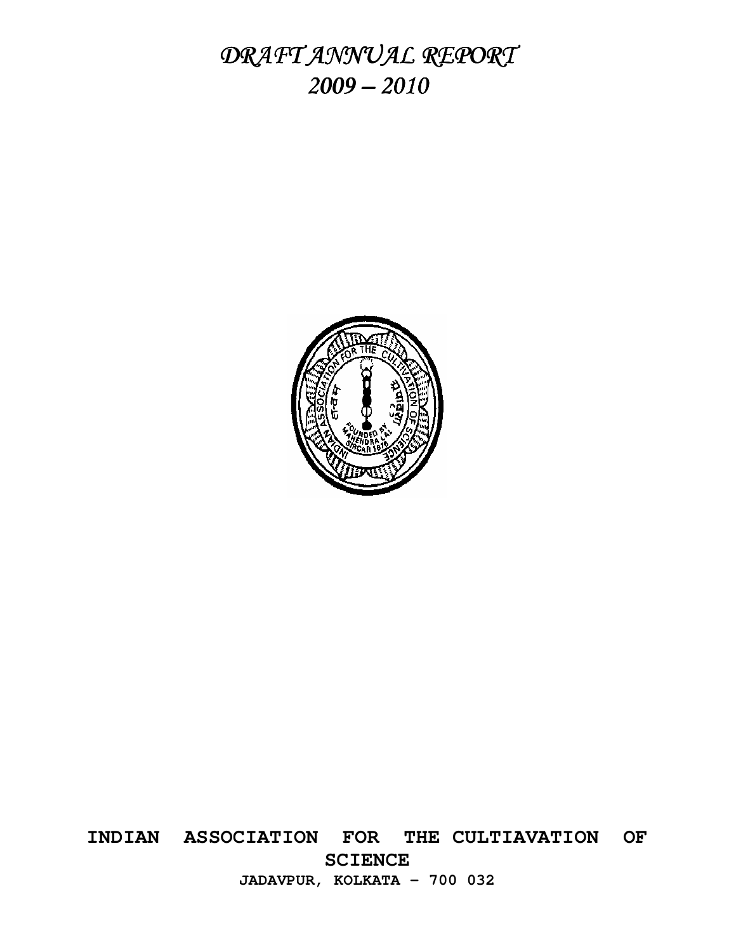DRAFT ANNUAL REPORT *2009 – 2010* 



**INDIAN ASSOCIATION FOR THE CULTIAVATION OF SCIENCE JADAVPUR, KOLKATA – 700 032**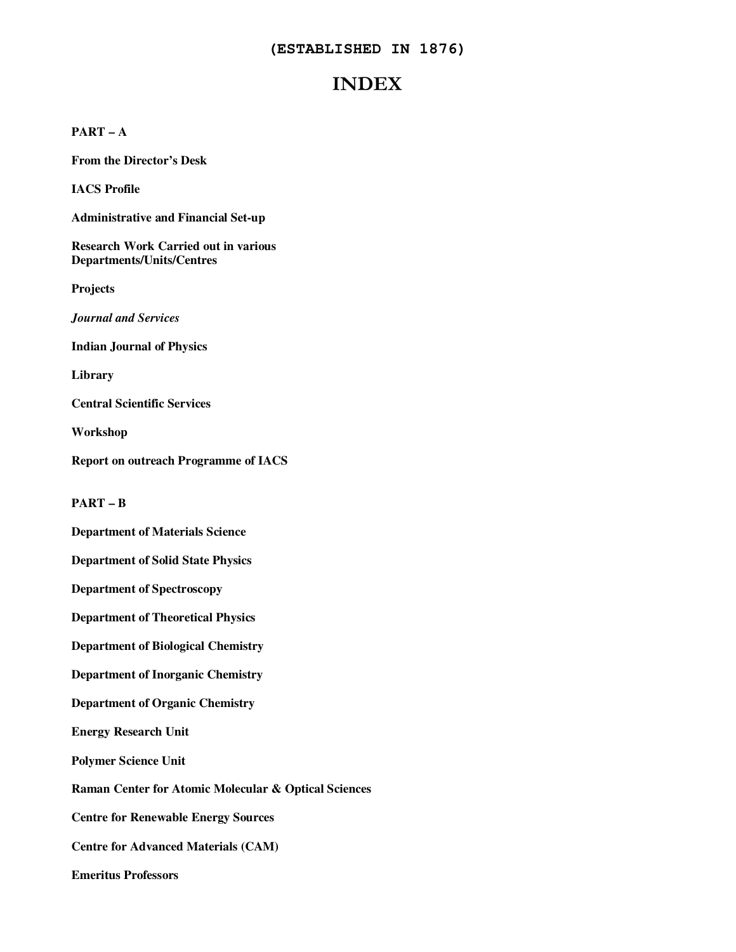## **(ESTABLISHED IN 1876)**

# **INDEX**

## **PART – A**

**From the Director's Desk** 

**IACS Profile** 

**Administrative and Financial Set-up** 

**Research Work Carried out in various Departments/Units/Centres** 

**Projects** 

*Journal and Services* 

**Indian Journal of Physics** 

**Library** 

**Central Scientific Services** 

**Workshop** 

**Report on outreach Programme of IACS** 

**PART – B** 

**Department of Materials Science** 

**Department of Solid State Physics** 

**Department of Spectroscopy** 

**Department of Theoretical Physics** 

**Department of Biological Chemistry** 

**Department of Inorganic Chemistry** 

**Department of Organic Chemistry** 

**Energy Research Unit** 

**Polymer Science Unit** 

**Raman Center for Atomic Molecular & Optical Sciences** 

**Centre for Renewable Energy Sources** 

**Centre for Advanced Materials (CAM)** 

**Emeritus Professors**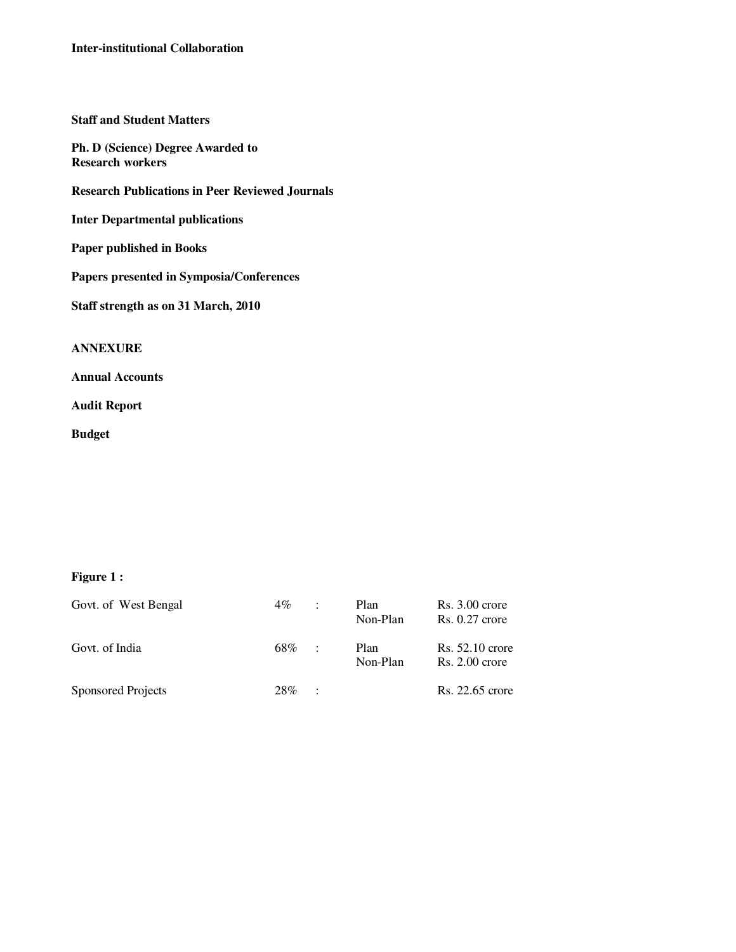## **Staff and Student Matters**

**Ph. D (Science) Degree Awarded to Research workers** 

**Research Publications in Peer Reviewed Journals** 

**Inter Departmental publications** 

**Paper published in Books** 

**Papers presented in Symposia/Conferences** 

**Staff strength as on 31 March, 2010** 

## **ANNEXURE**

**Annual Accounts** 

**Audit Report** 

**Budget** 

## **Figure 1 :**

| Govt. of West Bengal      | $4\%$ | ÷                 | Plan<br>Non-Plan | $Rs. 3.00$ crore<br>$Rs. 0.27$ crore  |
|---------------------------|-------|-------------------|------------------|---------------------------------------|
| Govt. of India            | 68%   | $\sim$ 100 $\sim$ | Plan<br>Non-Plan | $Rs. 52.10$ crore<br>$Rs. 2.00$ crore |
| <b>Sponsored Projects</b> | 28%   | $\sim$ 100 $\pm$  |                  | Rs. 22.65 crore                       |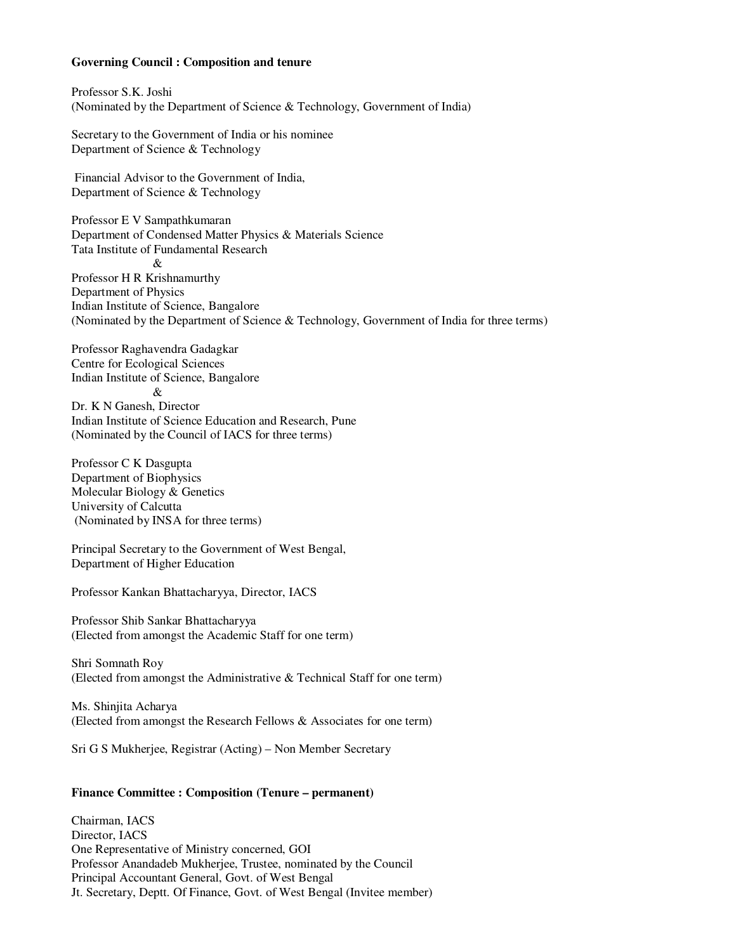#### **Governing Council : Composition and tenure**

Professor S.K. Joshi (Nominated by the Department of Science & Technology, Government of India)

Secretary to the Government of India or his nominee Department of Science & Technology

 Financial Advisor to the Government of India, Department of Science & Technology

Professor E V Sampathkumaran Department of Condensed Matter Physics & Materials Science Tata Institute of Fundamental Research & Professor H R Krishnamurthy Department of Physics Indian Institute of Science, Bangalore (Nominated by the Department of Science & Technology, Government of India for three terms)

Professor Raghavendra Gadagkar Centre for Ecological Sciences Indian Institute of Science, Bangalore  $\mathcal{R}$ Dr. K N Ganesh, Director Indian Institute of Science Education and Research, Pune (Nominated by the Council of IACS for three terms)

Professor C K Dasgupta Department of Biophysics Molecular Biology & Genetics University of Calcutta (Nominated by INSA for three terms)

Principal Secretary to the Government of West Bengal, Department of Higher Education

Professor Kankan Bhattacharyya, Director, IACS

Professor Shib Sankar Bhattacharyya (Elected from amongst the Academic Staff for one term)

Shri Somnath Roy (Elected from amongst the Administrative & Technical Staff for one term)

Ms. Shinjita Acharya (Elected from amongst the Research Fellows & Associates for one term)

Sri G S Mukherjee, Registrar (Acting) – Non Member Secretary

## **Finance Committee : Composition (Tenure – permanent)**

Chairman, IACS Director, IACS One Representative of Ministry concerned, GOI Professor Anandadeb Mukherjee, Trustee, nominated by the Council Principal Accountant General, Govt. of West Bengal Jt. Secretary, Deptt. Of Finance, Govt. of West Bengal (Invitee member)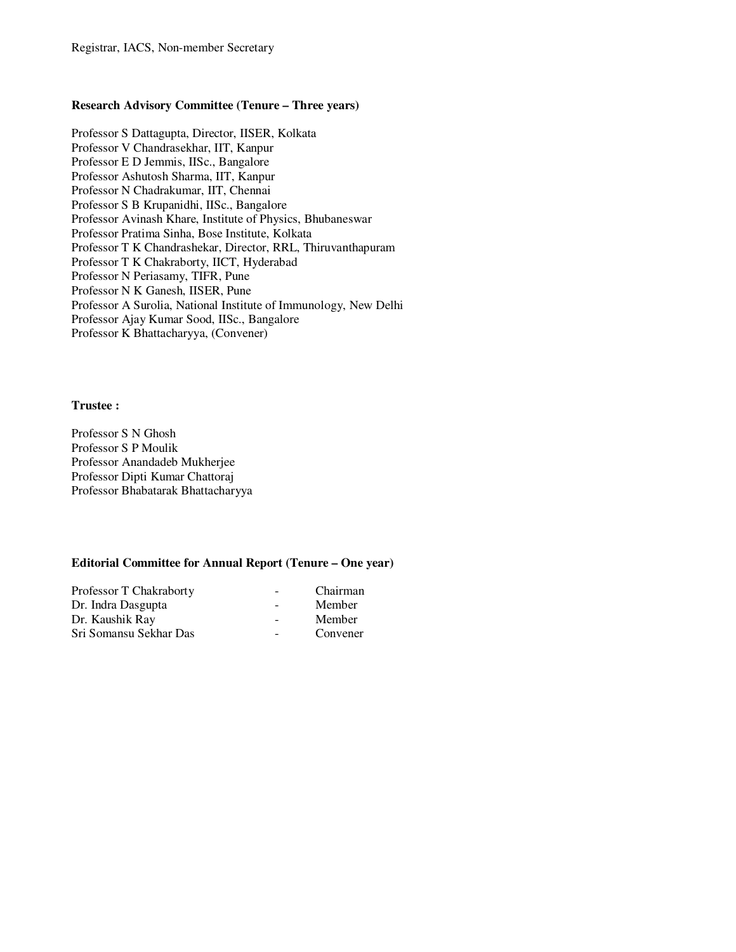## **Research Advisory Committee (Tenure – Three years)**

Professor S Dattagupta, Director, IISER, Kolkata Professor V Chandrasekhar, IIT, Kanpur Professor E D Jemmis, IISc., Bangalore Professor Ashutosh Sharma, IIT, Kanpur Professor N Chadrakumar, IIT, Chennai Professor S B Krupanidhi, IISc., Bangalore Professor Avinash Khare, Institute of Physics, Bhubaneswar Professor Pratima Sinha, Bose Institute, Kolkata Professor T K Chandrashekar, Director, RRL, Thiruvanthapuram Professor T K Chakraborty, IICT, Hyderabad Professor N Periasamy, TIFR, Pune Professor N K Ganesh, IISER, Pune Professor A Surolia, National Institute of Immunology, New Delhi Professor Ajay Kumar Sood, IISc., Bangalore Professor K Bhattacharyya, (Convener)

#### **Trustee :**

Professor S N Ghosh Professor S P Moulik Professor Anandadeb Mukherjee Professor Dipti Kumar Chattoraj Professor Bhabatarak Bhattacharyya

## **Editorial Committee for Annual Report (Tenure – One year)**

| Professor T Chakraborty | $\overline{\phantom{a}}$ | Chairman |
|-------------------------|--------------------------|----------|
| Dr. Indra Dasgupta      |                          | Member   |
| Dr. Kaushik Ray         |                          | Member   |
| Sri Somansu Sekhar Das  |                          | Convener |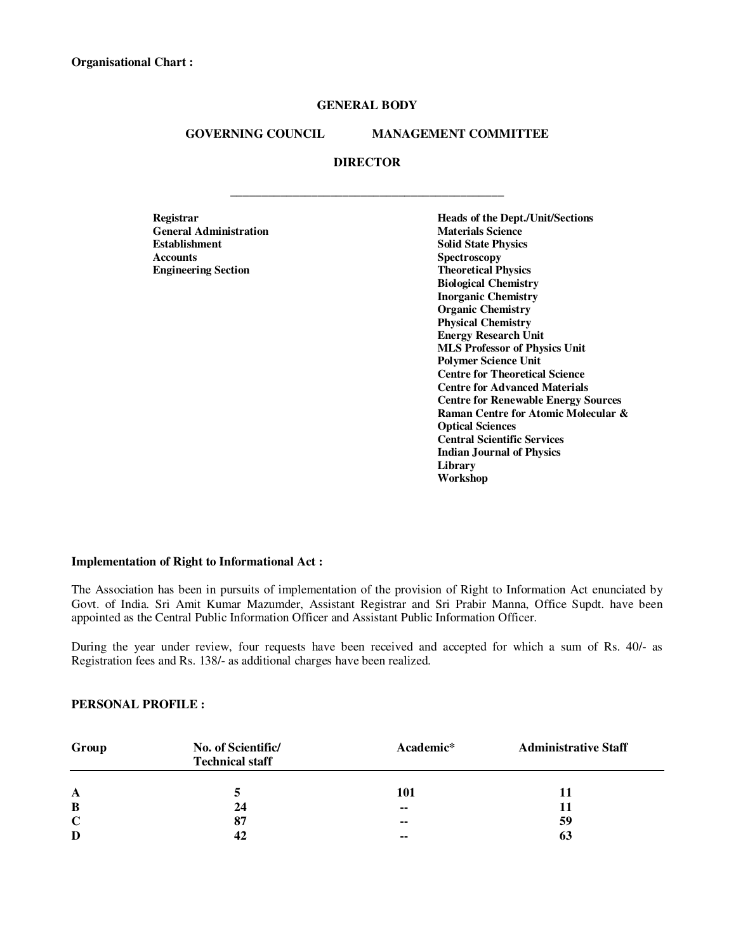## **GENERAL BODY**

### **GOVERNING COUNCIL MANAGEMENT COMMITTEE**

### **DIRECTOR**

**\_\_\_\_\_\_\_\_\_\_\_\_\_\_\_\_\_\_\_\_\_\_\_\_\_\_\_\_\_\_\_\_\_\_\_\_\_\_\_\_\_\_\_\_** 

**General Administration**<br>**Establishment Establishment** Solid State Physics<br> **Accounts** Spectroscopy **Accounts Spectroscopy**<br> **Engineering Section**<br> **Engineering Section** 

 **Registrar Heads of the Dept./Unit/Sections Theoretical Physics Biological Chemistry Inorganic Chemistry Organic Chemistry Physical Chemistry Energy Research Unit MLS Professor of Physics Unit Polymer Science Unit Centre for Theoretical Science Centre for Advanced Materials Centre for Renewable Energy Sources Raman Centre for Atomic Molecular & Optical Sciences Central Scientific Services Indian Journal of Physics Library Workshop** 

#### **Implementation of Right to Informational Act :**

The Association has been in pursuits of implementation of the provision of Right to Information Act enunciated by Govt. of India. Sri Amit Kumar Mazumder, Assistant Registrar and Sri Prabir Manna, Office Supdt. have been appointed as the Central Public Information Officer and Assistant Public Information Officer.

During the year under review, four requests have been received and accepted for which a sum of Rs. 40/- as Registration fees and Rs. 138/- as additional charges have been realized.

### **PERSONAL PROFILE :**

| Group       | No. of Scientific/<br><b>Technical staff</b> | Academic* | <b>Administrative Staff</b> |  |  |
|-------------|----------------------------------------------|-----------|-----------------------------|--|--|
| A           |                                              | 101       |                             |  |  |
| B           | 24                                           | $\sim$    |                             |  |  |
| $\mathbf C$ | 87                                           | $\sim$    | 59                          |  |  |
| D           |                                              | $\sim$    | 63                          |  |  |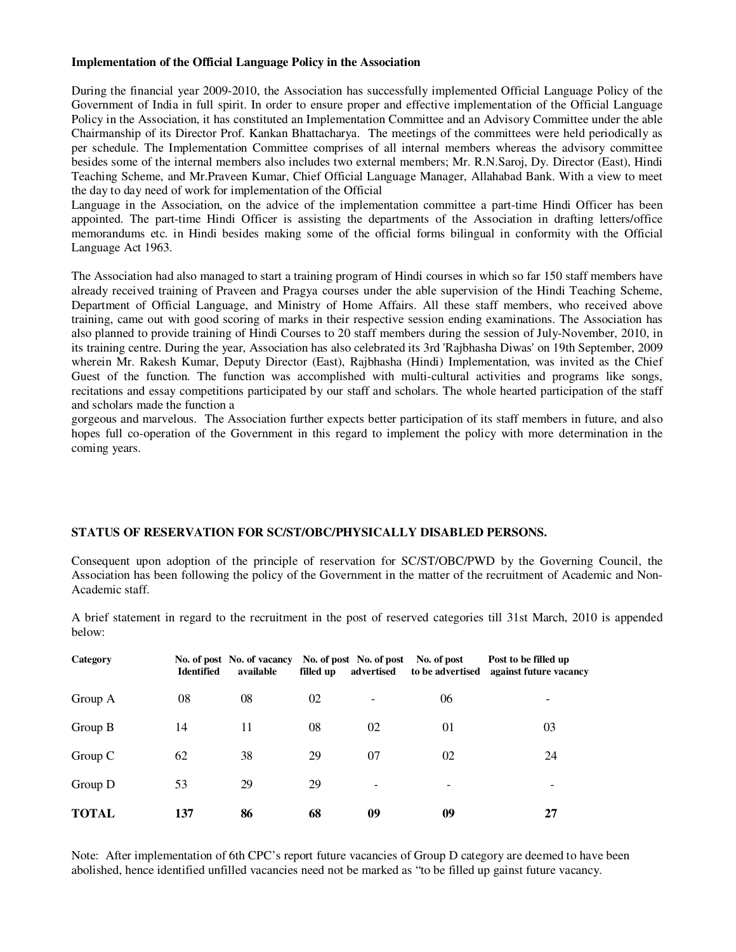#### **Implementation of the Official Language Policy in the Association**

During the financial year 2009-2010, the Association has successfully implemented Official Language Policy of the Government of India in full spirit. In order to ensure proper and effective implementation of the Official Language Policy in the Association, it has constituted an Implementation Committee and an Advisory Committee under the able Chairmanship of its Director Prof. Kankan Bhattacharya. The meetings of the committees were held periodically as per schedule. The Implementation Committee comprises of all internal members whereas the advisory committee besides some of the internal members also includes two external members; Mr. R.N.Saroj, Dy. Director (East), Hindi Teaching Scheme, and Mr.Praveen Kumar, Chief Official Language Manager, Allahabad Bank. With a view to meet the day to day need of work for implementation of the Official

Language in the Association, on the advice of the implementation committee a part-time Hindi Officer has been appointed. The part-time Hindi Officer is assisting the departments of the Association in drafting letters/office memorandums etc. in Hindi besides making some of the official forms bilingual in conformity with the Official Language Act 1963.

The Association had also managed to start a training program of Hindi courses in which so far 150 staff members have already received training of Praveen and Pragya courses under the able supervision of the Hindi Teaching Scheme, Department of Official Language, and Ministry of Home Affairs. All these staff members, who received above training, came out with good scoring of marks in their respective session ending examinations. The Association has also planned to provide training of Hindi Courses to 20 staff members during the session of July-November, 2010, in its training centre. During the year, Association has also celebrated its 3rd 'Rajbhasha Diwas' on 19th September, 2009 wherein Mr. Rakesh Kumar, Deputy Director (East), Rajbhasha (Hindi) Implementation, was invited as the Chief Guest of the function. The function was accomplished with multi-cultural activities and programs like songs, recitations and essay competitions participated by our staff and scholars. The whole hearted participation of the staff and scholars made the function a

gorgeous and marvelous. The Association further expects better participation of its staff members in future, and also hopes full co-operation of the Government in this regard to implement the policy with more determination in the coming years.

### **STATUS OF RESERVATION FOR SC/ST/OBC/PHYSICALLY DISABLED PERSONS.**

Consequent upon adoption of the principle of reservation for SC/ST/OBC/PWD by the Governing Council, the Association has been following the policy of the Government in the matter of the recruitment of Academic and Non-Academic staff.

A brief statement in regard to the recruitment in the post of reserved categories till 31st March, 2010 is appended below:

| Category     | <b>Identified</b> | No. of post No. of vacancy<br>available | filled up | No. of post No. of post<br>advertised | No. of post<br>to be advertised | Post to be filled up<br>against future vacancy |
|--------------|-------------------|-----------------------------------------|-----------|---------------------------------------|---------------------------------|------------------------------------------------|
| Group A      | 08                | 08                                      | 02        |                                       | 06                              | -                                              |
| Group B      | 14                | 11                                      | 08        | 02                                    | 01                              | 03                                             |
| Group C      | 62                | 38                                      | 29        | 07                                    | 02                              | 24                                             |
| Group D      | 53                | 29                                      | 29        |                                       |                                 |                                                |
| <b>TOTAL</b> | 137               | 86                                      | 68        | 09                                    | 09                              | 27                                             |

Note: After implementation of 6th CPC's report future vacancies of Group D category are deemed to have been abolished, hence identified unfilled vacancies need not be marked as "to be filled up gainst future vacancy.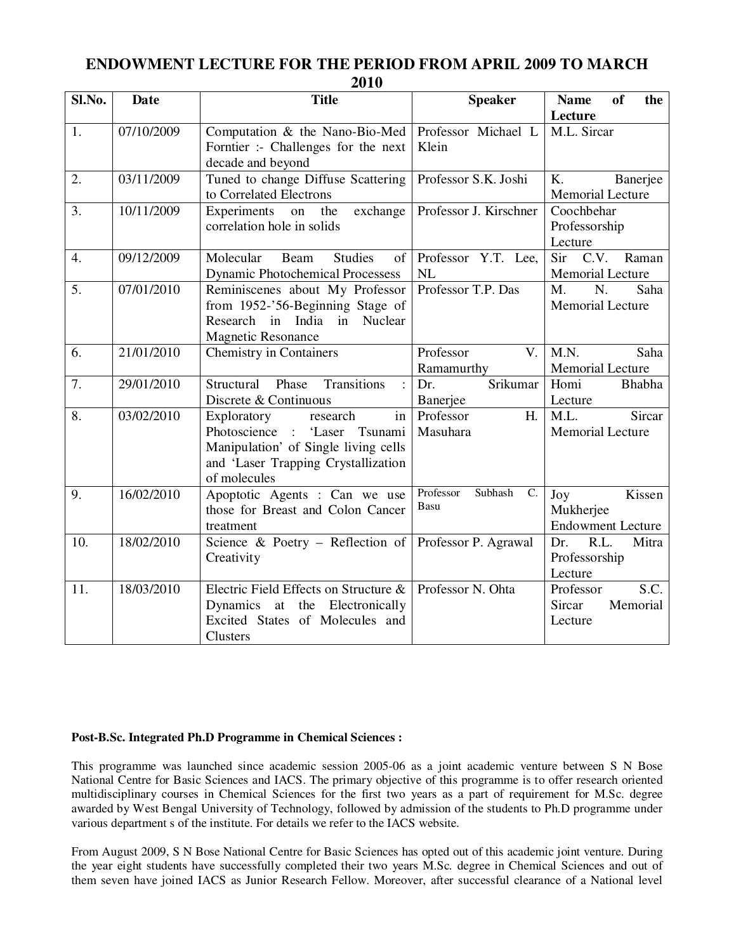## **ENDOWMENT LECTURE FOR THE PERIOD FROM APRIL 2009 TO MARCH 2010**

| Sl.No.           | <b>Date</b> | <b>Title</b>                                                       | <b>Speaker</b>             | of<br><b>Name</b><br>the  |
|------------------|-------------|--------------------------------------------------------------------|----------------------------|---------------------------|
|                  |             |                                                                    |                            | Lecture                   |
| 1.               | 07/10/2009  | Computation & the Nano-Bio-Med                                     | Professor Michael L        | M.L. Sircar               |
|                  |             | Forntier :- Challenges for the next                                | Klein                      |                           |
|                  |             | decade and beyond                                                  |                            |                           |
| 2.               | 03/11/2009  | Tuned to change Diffuse Scattering                                 | Professor S.K. Joshi       | K.<br>Banerjee            |
|                  |             | to Correlated Electrons                                            |                            | Memorial Lecture          |
| 3.               | 10/11/2009  | Experiments<br>exchange<br>the<br>on                               | Professor J. Kirschner     | Coochbehar                |
|                  |             | correlation hole in solids                                         |                            | Professorship             |
|                  |             |                                                                    |                            | Lecture                   |
| $\overline{4}$ . | 09/12/2009  | <b>Studies</b><br>Molecular<br>Beam<br>of                          | Professor Y.T. Lee,        | C.V.<br>Sir<br>Raman      |
|                  |             | <b>Dynamic Photochemical Processess</b>                            | NL                         | <b>Memorial Lecture</b>   |
| 5.               | 07/01/2010  | Reminiscenes about My Professor                                    | Professor T.P. Das         | $M_{\cdot}$<br>N.<br>Saha |
|                  |             | from 1952-'56-Beginning Stage of                                   |                            | <b>Memorial Lecture</b>   |
|                  |             | Research in India in Nuclear                                       |                            |                           |
|                  |             | <b>Magnetic Resonance</b>                                          |                            |                           |
| 6.               | 21/01/2010  | <b>Chemistry in Containers</b>                                     | Professor<br>$V_{\cdot}$   | M.N.<br>Saha              |
|                  |             |                                                                    | Ramamurthy                 | Memorial Lecture          |
| 7.               | 29/01/2010  | Phase<br>Transitions<br>Structural<br>$\mathbf{r}$                 | Srikumar<br>Dr.            | Homi<br>Bhabha            |
|                  |             | Discrete & Continuous                                              | Banerjee                   | Lecture                   |
| 8.               | 03/02/2010  | Exploratory<br>research<br>in                                      | Professor<br>H.            | M.L.<br>Sircar            |
|                  |             | Photoscience :<br>'Laser<br>Tsunami                                | Masuhara                   | <b>Memorial Lecture</b>   |
|                  |             | Manipulation' of Single living cells                               |                            |                           |
|                  |             | and 'Laser Trapping Crystallization                                |                            |                           |
| 9.               | 16/02/2010  | of molecules                                                       | Professor<br>Subhash<br>C. | Kissen                    |
|                  |             | Apoptotic Agents : Can we use<br>those for Breast and Colon Cancer | Basu                       | Joy<br>Mukherjee          |
|                  |             | treatment                                                          |                            | <b>Endowment Lecture</b>  |
| 10.              | 18/02/2010  | Science & Poetry - Reflection of                                   | Professor P. Agrawal       | R.L.<br>Mitra<br>Dr.      |
|                  |             | Creativity                                                         |                            | Professorship             |
|                  |             |                                                                    |                            | Lecture                   |
| 11.              | 18/03/2010  | Electric Field Effects on Structure &                              | Professor N. Ohta          | S.C.<br>Professor         |
|                  |             | Dynamics at the Electronically                                     |                            | Sircar<br>Memorial        |
|                  |             | Excited States of Molecules and                                    |                            | Lecture                   |
|                  |             | <b>Clusters</b>                                                    |                            |                           |

## **Post-B.Sc. Integrated Ph.D Programme in Chemical Sciences :**

This programme was launched since academic session 2005-06 as a joint academic venture between S N Bose National Centre for Basic Sciences and IACS. The primary objective of this programme is to offer research oriented multidisciplinary courses in Chemical Sciences for the first two years as a part of requirement for M.Sc. degree awarded by West Bengal University of Technology, followed by admission of the students to Ph.D programme under various department s of the institute. For details we refer to the IACS website.

From August 2009, S N Bose National Centre for Basic Sciences has opted out of this academic joint venture. During the year eight students have successfully completed their two years M.Sc. degree in Chemical Sciences and out of them seven have joined IACS as Junior Research Fellow. Moreover, after successful clearance of a National level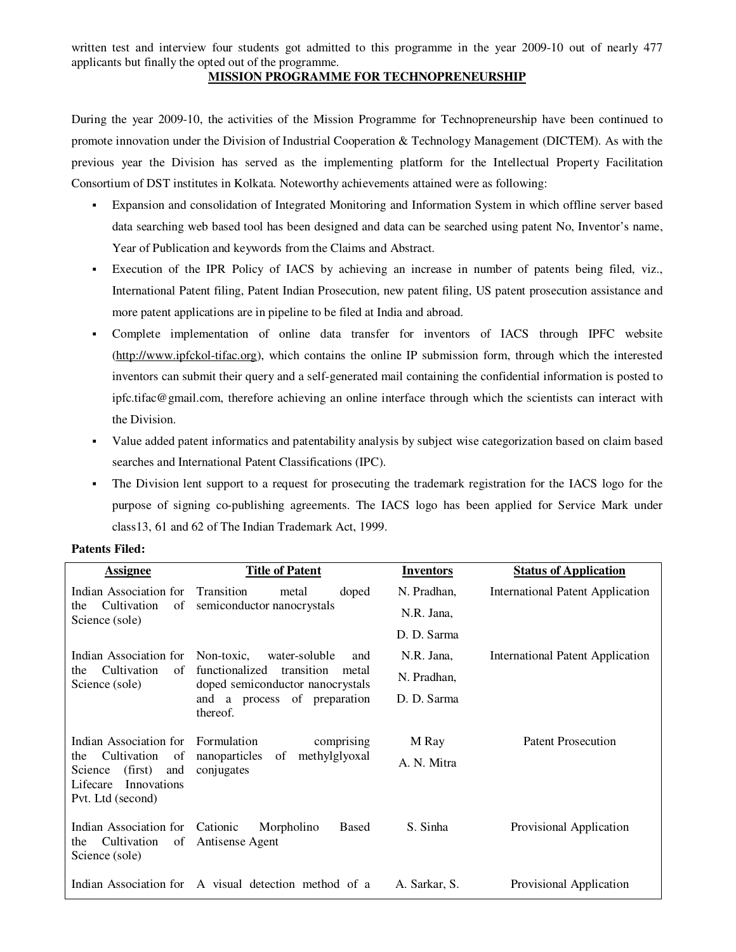written test and interview four students got admitted to this programme in the year 2009-10 out of nearly 477 applicants but finally the opted out of the programme.

#### **MISSION PROGRAMME FOR TECHNOPRENEURSHIP**

During the year 2009-10, the activities of the Mission Programme for Technopreneurship have been continued to promote innovation under the Division of Industrial Cooperation & Technology Management (DICTEM). As with the previous year the Division has served as the implementing platform for the Intellectual Property Facilitation Consortium of DST institutes in Kolkata. Noteworthy achievements attained were as following:

- Expansion and consolidation of Integrated Monitoring and Information System in which offline server based data searching web based tool has been designed and data can be searched using patent No, Inventor's name, Year of Publication and keywords from the Claims and Abstract.
- Execution of the IPR Policy of IACS by achieving an increase in number of patents being filed, viz., International Patent filing, Patent Indian Prosecution, new patent filing, US patent prosecution assistance and more patent applications are in pipeline to be filed at India and abroad.
- Complete implementation of online data transfer for inventors of IACS through IPFC website (http://www.ipfckol-tifac.org), which contains the online IP submission form, through which the interested inventors can submit their query and a self-generated mail containing the confidential information is posted to ipfc.tifac@gmail.com, therefore achieving an online interface through which the scientists can interact with the Division.
- Value added patent informatics and patentability analysis by subject wise categorization based on claim based searches and International Patent Classifications (IPC).
- The Division lent support to a request for prosecuting the trademark registration for the IACS logo for the purpose of signing co-publishing agreements. The IACS logo has been applied for Service Mark under class13, 61 and 62 of The Indian Trademark Act, 1999.

| <b>Assignee</b>                                                                                       | <b>Title of Patent</b>                                                    | <b>Inventors</b> | <b>Status of Application</b>            |
|-------------------------------------------------------------------------------------------------------|---------------------------------------------------------------------------|------------------|-----------------------------------------|
| Indian Association for                                                                                | Transition<br>doped<br>metal                                              | N. Pradhan,      | <b>International Patent Application</b> |
| Cultivation<br>of<br>the<br>Science (sole)                                                            | semiconductor nanocrystals                                                | N.R. Jana,       |                                         |
|                                                                                                       |                                                                           | D. D. Sarma      |                                         |
|                                                                                                       | Indian Association for Non-toxic, water-soluble<br>and                    | N.R. Jana,       | <b>International Patent Application</b> |
| Cultivation<br>of<br>the<br>Science (sole)                                                            | functionalized<br>transition<br>metal<br>doped semiconductor nanocrystals | N. Pradhan,      |                                         |
|                                                                                                       | and a process of preparation<br>thereof.                                  | D. D. Sarma      |                                         |
| Indian Association for                                                                                | Formulation<br>comprising                                                 | M Ray            | <b>Patent Prosecution</b>               |
| Cultivation<br>of<br>the<br>(first)<br>Science<br>and<br>Innovations<br>Lifecare<br>Pvt. Ltd (second) | nanoparticles of methylglyoxal<br>conjugates                              | A. N. Mitra      |                                         |
| Indian Association for Cationic<br>Cultivation<br>the<br>Science (sole)                               | <b>Based</b><br>Morpholino<br>of Antisense Agent                          | S. Sinha         | Provisional Application                 |
|                                                                                                       | Indian Association for A visual detection method of a                     | A. Sarkar, S.    | Provisional Application                 |

#### **Patents Filed:**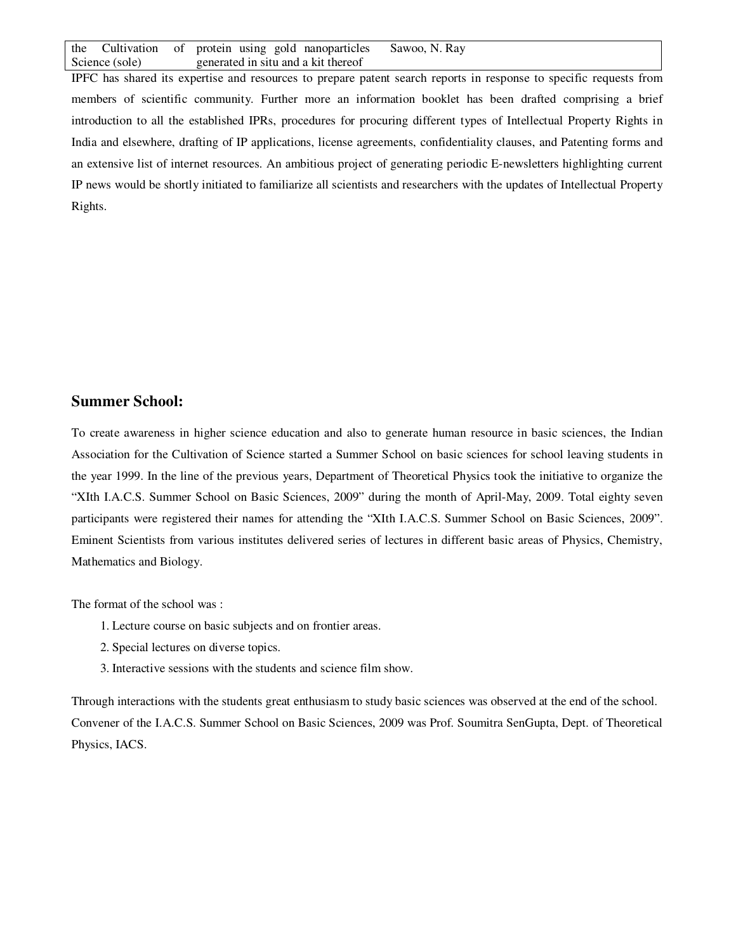the Cultivation of Science (sole) protein using gold nanoparticles generated in situ and a kit thereof Sawoo, N. Ray

IPFC has shared its expertise and resources to prepare patent search reports in response to specific requests from members of scientific community. Further more an information booklet has been drafted comprising a brief introduction to all the established IPRs, procedures for procuring different types of Intellectual Property Rights in India and elsewhere, drafting of IP applications, license agreements, confidentiality clauses, and Patenting forms and an extensive list of internet resources. An ambitious project of generating periodic E-newsletters highlighting current IP news would be shortly initiated to familiarize all scientists and researchers with the updates of Intellectual Property Rights.

## **Summer School:**

To create awareness in higher science education and also to generate human resource in basic sciences, the Indian Association for the Cultivation of Science started a Summer School on basic sciences for school leaving students in the year 1999. In the line of the previous years, Department of Theoretical Physics took the initiative to organize the "XIth I.A.C.S. Summer School on Basic Sciences, 2009" during the month of April-May, 2009. Total eighty seven participants were registered their names for attending the "XIth I.A.C.S. Summer School on Basic Sciences, 2009". Eminent Scientists from various institutes delivered series of lectures in different basic areas of Physics, Chemistry, Mathematics and Biology.

The format of the school was :

- 1. Lecture course on basic subjects and on frontier areas.
- 2. Special lectures on diverse topics.
- 3. Interactive sessions with the students and science film show.

Through interactions with the students great enthusiasm to study basic sciences was observed at the end of the school. Convener of the I.A.C.S. Summer School on Basic Sciences, 2009 was Prof. Soumitra SenGupta, Dept. of Theoretical Physics, IACS.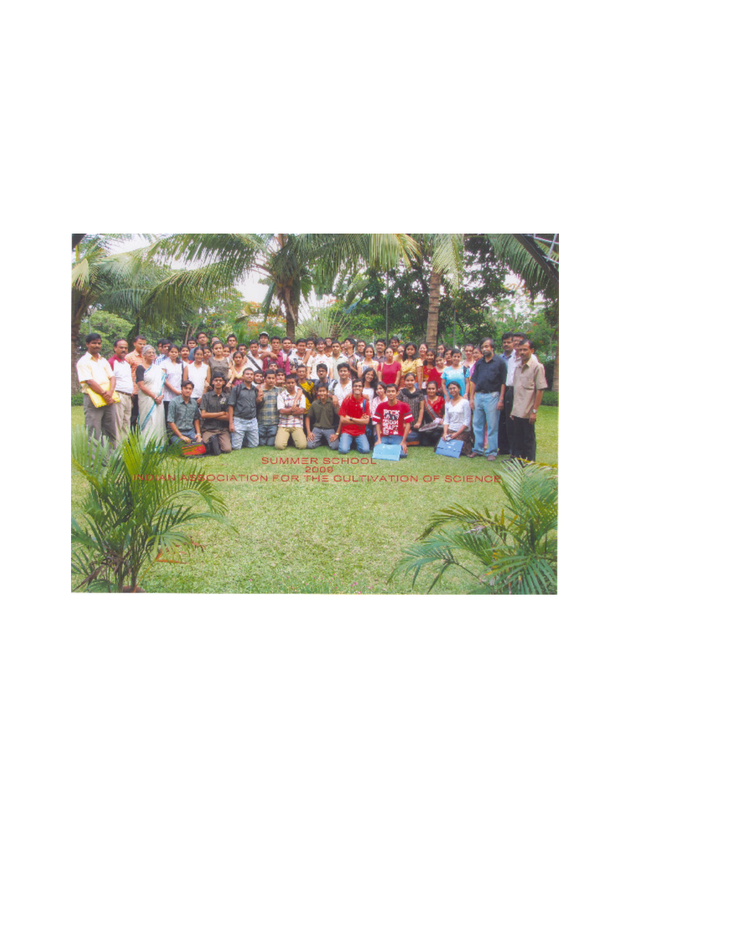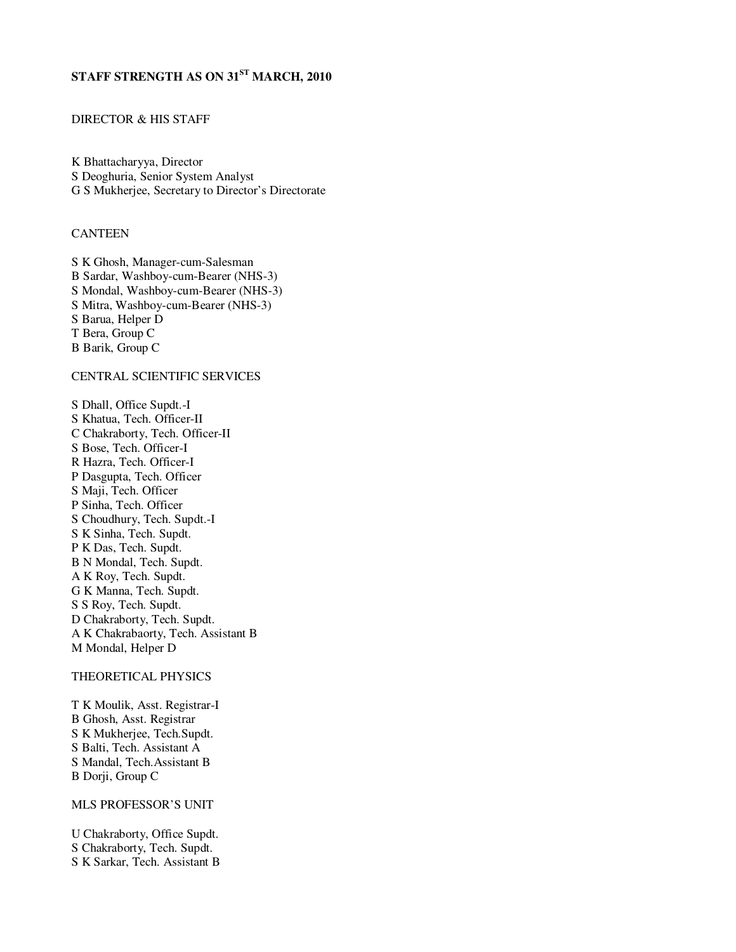# **STAFF STRENGTH AS ON 31ST MARCH, 2010**

### DIRECTOR & HIS STAFF

K Bhattacharyya, Director S Deoghuria, Senior System Analyst G S Mukherjee, Secretary to Director's Directorate

### **CANTEEN**

S K Ghosh, Manager-cum-Salesman B Sardar, Washboy-cum-Bearer (NHS-3) S Mondal, Washboy-cum-Bearer (NHS-3) S Mitra, Washboy-cum-Bearer (NHS-3) S Barua, Helper D T Bera, Group C B Barik, Group C

### CENTRAL SCIENTIFIC SERVICES

S Dhall, Office Supdt.-I S Khatua, Tech. Officer-II C Chakraborty, Tech. Officer-II S Bose, Tech. Officer-I R Hazra, Tech. Officer-I P Dasgupta, Tech. Officer S Maji, Tech. Officer P Sinha, Tech. Officer S Choudhury, Tech. Supdt.-I S K Sinha, Tech. Supdt. P K Das, Tech. Supdt. B N Mondal, Tech. Supdt. A K Roy, Tech. Supdt. G K Manna, Tech. Supdt. S S Roy, Tech. Supdt. D Chakraborty, Tech. Supdt. A K Chakrabaorty, Tech. Assistant B M Mondal, Helper D

#### THEORETICAL PHYSICS

T K Moulik, Asst. Registrar-I B Ghosh, Asst. Registrar S K Mukherjee, Tech.Supdt. S Balti, Tech. Assistant A S Mandal, Tech.Assistant B B Dorji, Group C

#### MLS PROFESSOR'S UNIT

U Chakraborty, Office Supdt. S Chakraborty, Tech. Supdt. S K Sarkar, Tech. Assistant B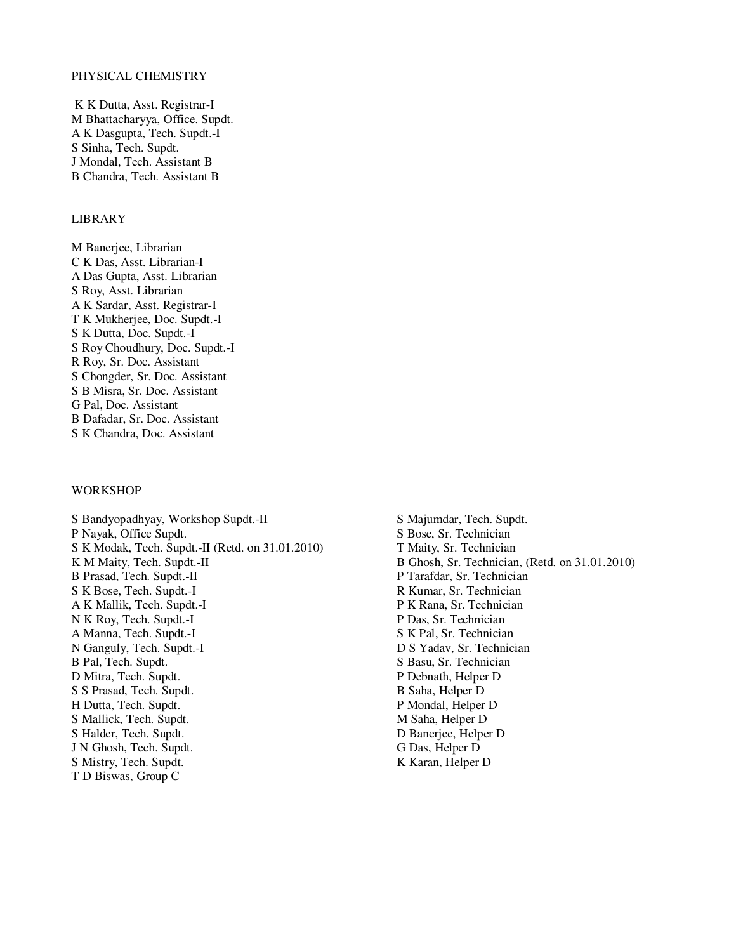#### PHYSICAL CHEMISTRY

 K K Dutta, Asst. Registrar-I M Bhattacharyya, Office. Supdt. A K Dasgupta, Tech. Supdt.-I S Sinha, Tech. Supdt. J Mondal, Tech. Assistant B B Chandra, Tech. Assistant B

#### LIBRARY

M Banerjee, Librarian C K Das, Asst. Librarian-I A Das Gupta, Asst. Librarian S Roy, Asst. Librarian A K Sardar, Asst. Registrar-I T K Mukherjee, Doc. Supdt.-I S K Dutta, Doc. Supdt.-I S Roy Choudhury, Doc. Supdt.-I R Roy, Sr. Doc. Assistant S Chongder, Sr. Doc. Assistant S B Misra, Sr. Doc. Assistant G Pal, Doc. Assistant B Dafadar, Sr. Doc. Assistant S K Chandra, Doc. Assistant

#### WORKSHOP

S Bandyopadhyay, Workshop Supdt.-II S Majumdar, Tech. Supdt. P Nayak, Office Supdt. S Bose, Sr. Technician S K Modak, Tech. Supdt.-II (Retd. on 31.01.2010) T Maity, Sr. Technician K M Maity, Tech. Supdt.-II B Ghosh, Sr. Technician, (Retd. on 31.01.2010)<br>B Prasad, Tech. Supdt.-II P Tarafdar, Sr. Technician S K Bose, Tech. Supdt.-I R Kumar, Sr. Technician A K Mallik, Tech. Supdt.-I P K Rana, Sr. Technician N K Roy, Tech. Supdt.-I P Das, Sr. Technician A Manna, Tech. Supdt.-I S K Pal, Sr. Technician N Ganguly, Tech. Supdt.-I D S Yadav, Sr. Technician<br>
B Pal, Tech. Supdt. S Basu, Sr. Technician<br>
S Basu, Sr. Technician D Mitra, Tech. Supdt. P Debnath, Helper D S S Prasad, Tech. Supdt. B Saha, Helper D H Dutta, Tech. Supdt. P Mondal, Helper D S Mallick, Tech. Supdt. M Saha, Helper D S Halder, Tech. Supdt. D Banerjee, Helper D J N Ghosh, Tech. Supdt. G Das, Helper D S Mistry, Tech. Supdt. K Karan, Helper D T D Biswas, Group C

P Tarafdar, Sr. Technician S Basu, Sr. Technician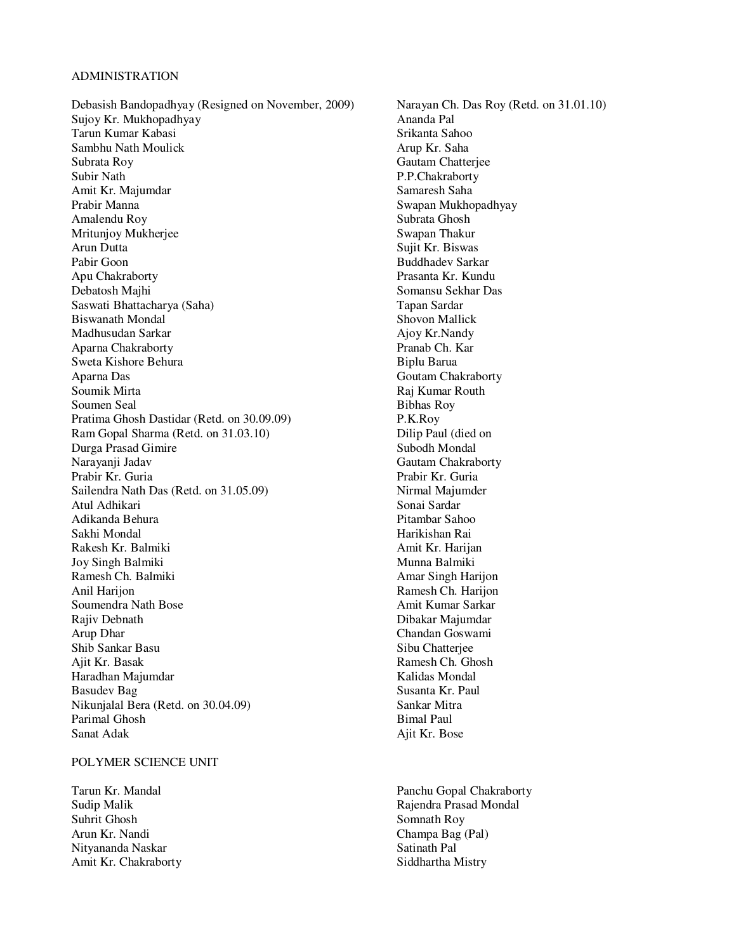#### ADMINISTRATION

Debasish Bandopadhyay (Resigned on November, 2009) Narayan Ch. Das Roy (Retd. on 31.01.10)<br>Suiov Kr. Mukhopadhyay Ananda Pal Sujoy Kr. Mukhopadhyay Tarun Kumar Kabasi **Srikanta Sahoo** Sambhu Nath Moulick **Arup Kr.** Saha Subrata Roy Gautam Chatterjee Subir Nath P.P.Chakraborty Amit Kr. Majumdar Samaresh Saha Prabir Manna **Swapan Mukhopadhyay** Amalendu Roy Subrata Ghosh Mritunjoy Mukherjee Arun Dutta Sujit Kr. Biswas Pabir Goon Buddhadev Sarkar Apu Chakraborty Prasanta Kr. Kundu Debatosh Majhi Somansu Sekhar Das Saswati Bhattacharya (Saha) Tapan Sardar Madhusudan Sarkar Ajoy Kr.Nandy Aparna Chakraborty Pranab Ch. Kar Sweta Kishore Behura **Biplu Barua** Biplu Barua Aparna Das Goutam Chakraborty Soumik Mirta<br>
Soumen Seal<br>
Raj Kumar Routh<br>
Raj Kumar Routh<br>
Raj Kumar Routh<br>
Raj Kumar Routh Soumen Seal<br>
Pratima Ghosh Dastidar (Retd. on 30.09.09) P.K.Roy Pratima Ghosh Dastidar (Retd. on 30.09.09) Ram Gopal Sharma (Retd. on 31.03.10) Dilip Paul (died on Durga Prasad Gimire Subodh Mondal Narayanji Jadav Gautam Chakraborty Prabir Kr. Guria Prabir Kr. Guria Sailendra Nath Das (Retd. on 31.05.09) Nirmal Majumder Atul Adhikari Sonai Sardar Adikanda Behura Sakhi Mondal **Harikishan Rai** Rakesh Kr. Balmiki Amit Kr. Harijan Joy Singh Balmiki **Munna Balmiki** Munna Balmiki Ramesh Ch. Balmiki Amar Singh Harijon Anil Harijon Ramesh Ch. Harijon Soumendra Nath Bose Amit Kumar Sarkar Rajiv Debnath Dibakar Majumdar Dibakar Majumdar Arup Dhar Chandan Goswami Shib Sankar Basu Sibu Chatterjee Haradhan Majumdar Kalidas Mondal Basudev Bag Susanta Kr. Paul Nikunjalal Bera (Retd. on 30.04.09) Sankar Mitra Parimal Ghosh Bimal Paul Sanat Adak Ajit Kr. Bose

### POLYMER SCIENCE UNIT

Suhrit Ghosh Somnath Roy Arun Kr. Nandi Champa Bag (Pal) Nityananda Naskar Satinath Pal Amit Kr. Chakraborty Siddhartha Mistry

Shovon Mallick Ramesh Ch. Ghosh

Tarun Kr. Mandal Panchu Gopal Chakraborty Sudip Malik **Rajendra Prasad Mondal**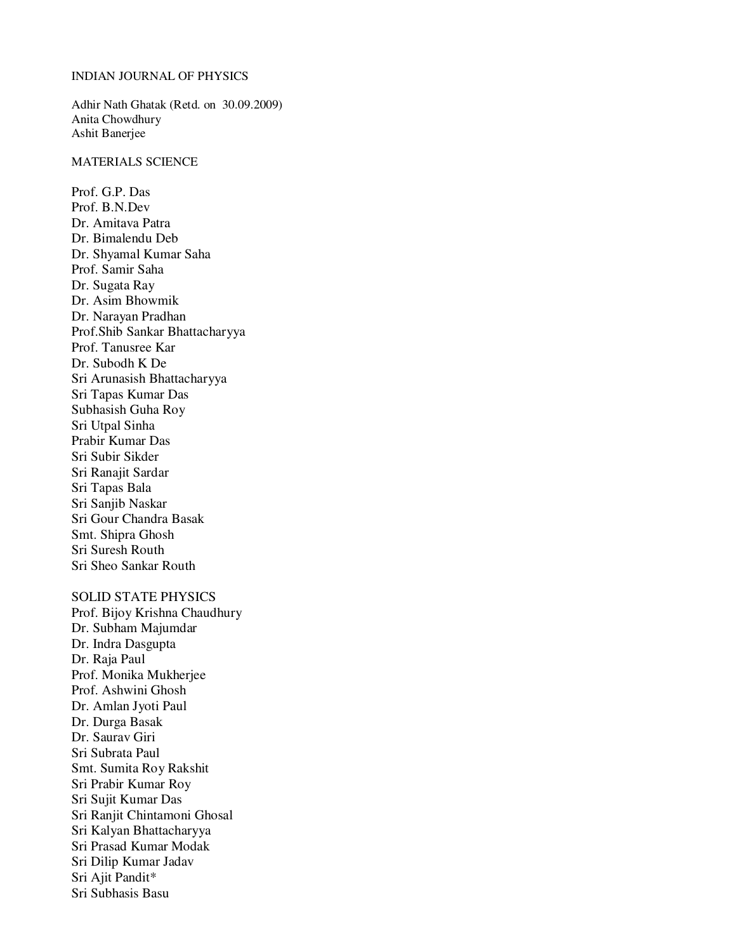#### INDIAN JOURNAL OF PHYSICS

Adhir Nath Ghatak (Retd. on 30.09.2009) Anita Chowdhury Ashit Banerjee

#### MATERIALS SCIENCE

Prof. G.P. Das Prof. B.N.Dev Dr. Amitava Patra Dr. Bimalendu Deb Dr. Shyamal Kumar Saha Prof. Samir Saha Dr. Sugata Ray Dr. Asim Bhowmik Dr. Narayan Pradhan Prof.Shib Sankar Bhattacharyya Prof. Tanusree Kar Dr. Subodh K De Sri Arunasish Bhattacharyya Sri Tapas Kumar Das Subhasish Guha Roy Sri Utpal Sinha Prabir Kumar Das Sri Subir Sikder Sri Ranajit Sardar Sri Tapas Bala Sri Sanjib Naskar Sri Gour Chandra Basak Smt. Shipra Ghosh Sri Suresh Routh Sri Sheo Sankar Routh

## SOLID STATE PHYSICS

Prof. Bijoy Krishna Chaudhury Dr. Subham Majumdar Dr. Indra Dasgupta Dr. Raja Paul Prof. Monika Mukherjee Prof. Ashwini Ghosh Dr. Amlan Jyoti Paul Dr. Durga Basak Dr. Saurav Giri Sri Subrata Paul Smt. Sumita Roy Rakshit Sri Prabir Kumar Roy Sri Sujit Kumar Das Sri Ranjit Chintamoni Ghosal Sri Kalyan Bhattacharyya Sri Prasad Kumar Modak Sri Dilip Kumar Jadav Sri Ajit Pandit\* Sri Subhasis Basu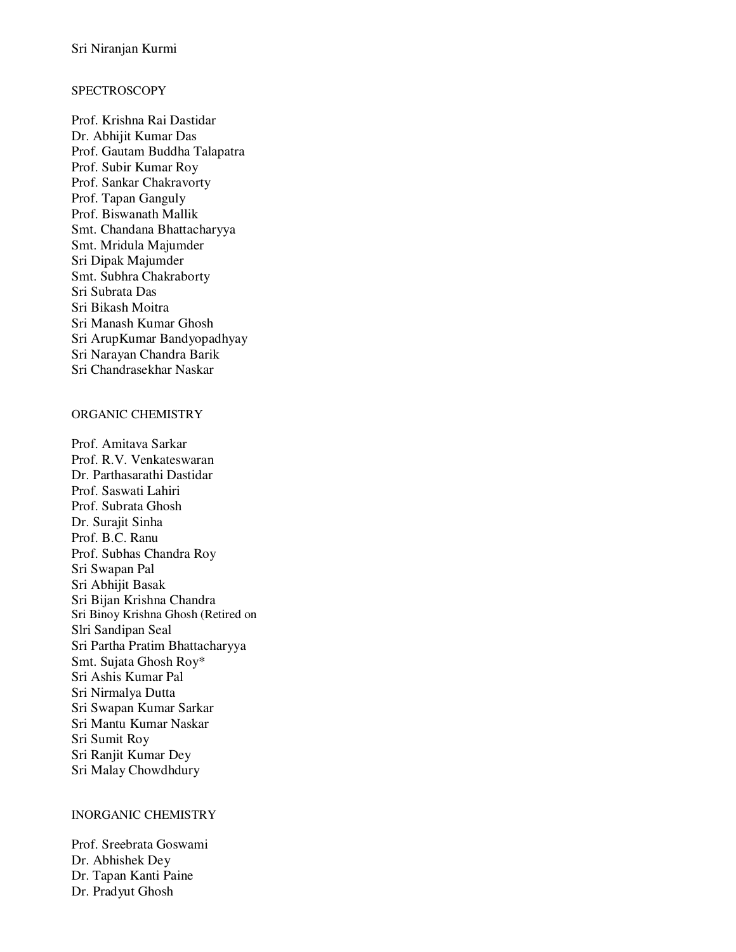## **SPECTROSCOPY**

Prof. Krishna Rai Dastidar Dr. Abhijit Kumar Das Prof. Gautam Buddha Talapatra Prof. Subir Kumar Roy Prof. Sankar Chakravorty Prof. Tapan Ganguly Prof. Biswanath Mallik Smt. Chandana Bhattacharyya Smt. Mridula Majumder Sri Dipak Majumder Smt. Subhra Chakraborty Sri Subrata Das Sri Bikash Moitra Sri Manash Kumar Ghosh Sri ArupKumar Bandyopadhyay Sri Narayan Chandra Barik Sri Chandrasekhar Naskar

## ORGANIC CHEMISTRY

Prof. Amitava Sarkar Prof. R.V. Venkateswaran Dr. Parthasarathi Dastidar Prof. Saswati Lahiri Prof. Subrata Ghosh Dr. Surajit Sinha Prof. B.C. Ranu Prof. Subhas Chandra Roy Sri Swapan Pal Sri Abhijit Basak Sri Bijan Krishna Chandra Sri Binoy Krishna Ghosh (Retired on Slri Sandipan Seal Sri Partha Pratim Bhattacharyya Smt. Sujata Ghosh Roy\* Sri Ashis Kumar Pal Sri Nirmalya Dutta Sri Swapan Kumar Sarkar Sri Mantu Kumar Naskar Sri Sumit Roy Sri Ranjit Kumar Dey Sri Malay Chowdhdury

## INORGANIC CHEMISTRY

Prof. Sreebrata Goswami Dr. Abhishek Dey Dr. Tapan Kanti Paine Dr. Pradyut Ghosh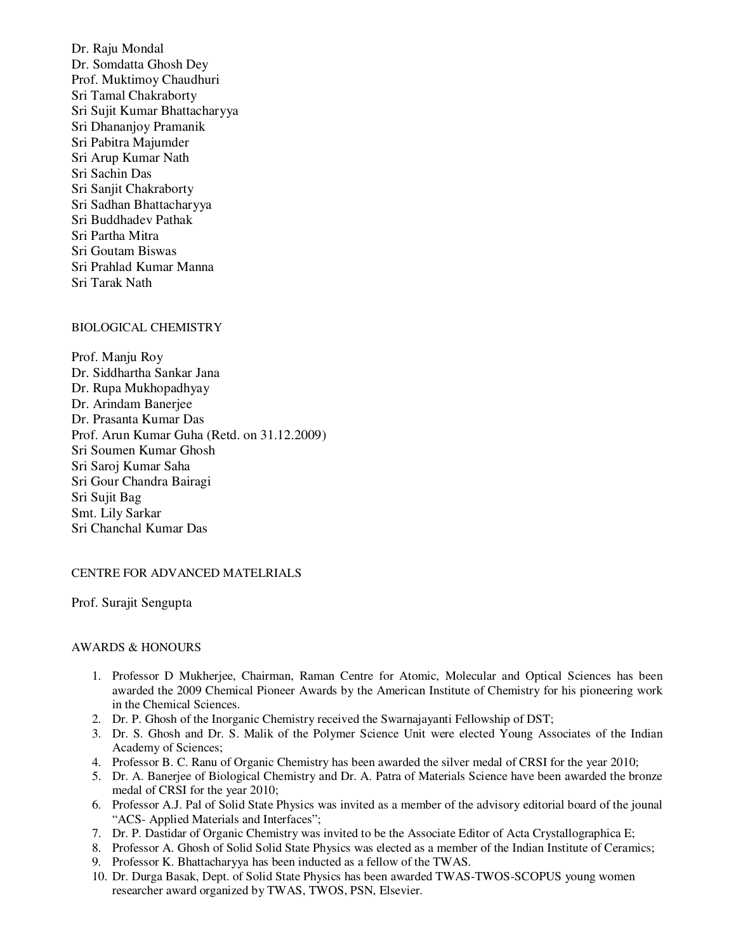Dr. Raju Mondal Dr. Somdatta Ghosh Dey Prof. Muktimoy Chaudhuri Sri Tamal Chakraborty Sri Sujit Kumar Bhattacharyya Sri Dhananjoy Pramanik Sri Pabitra Majumder Sri Arup Kumar Nath Sri Sachin Das Sri Sanjit Chakraborty Sri Sadhan Bhattacharyya Sri Buddhadev Pathak Sri Partha Mitra Sri Goutam Biswas Sri Prahlad Kumar Manna Sri Tarak Nath

## BIOLOGICAL CHEMISTRY

Prof. Manju Roy Dr. Siddhartha Sankar Jana Dr. Rupa Mukhopadhyay Dr. Arindam Banerjee Dr. Prasanta Kumar Das Prof. Arun Kumar Guha (Retd. on 31.12.2009) Sri Soumen Kumar Ghosh Sri Saroj Kumar Saha Sri Gour Chandra Bairagi Sri Sujit Bag Smt. Lily Sarkar Sri Chanchal Kumar Das

### CENTRE FOR ADVANCED MATELRIALS

Prof. Surajit Sengupta

### AWARDS & HONOURS

- 1. Professor D Mukherjee, Chairman, Raman Centre for Atomic, Molecular and Optical Sciences has been awarded the 2009 Chemical Pioneer Awards by the American Institute of Chemistry for his pioneering work in the Chemical Sciences.
- 2. Dr. P. Ghosh of the Inorganic Chemistry received the Swarnajayanti Fellowship of DST;
- 3. Dr. S. Ghosh and Dr. S. Malik of the Polymer Science Unit were elected Young Associates of the Indian Academy of Sciences;
- 4. Professor B. C. Ranu of Organic Chemistry has been awarded the silver medal of CRSI for the year 2010;
- 5. Dr. A. Banerjee of Biological Chemistry and Dr. A. Patra of Materials Science have been awarded the bronze medal of CRSI for the year 2010;
- 6. Professor A.J. Pal of Solid State Physics was invited as a member of the advisory editorial board of the jounal "ACS- Applied Materials and Interfaces";
- 7. Dr. P. Dastidar of Organic Chemistry was invited to be the Associate Editor of Acta Crystallographica E;
- 8. Professor A. Ghosh of Solid Solid State Physics was elected as a member of the Indian Institute of Ceramics;
- 9. Professor K. Bhattacharyya has been inducted as a fellow of the TWAS.
- 10. Dr. Durga Basak, Dept. of Solid State Physics has been awarded TWAS-TWOS-SCOPUS young women researcher award organized by TWAS, TWOS, PSN, Elsevier.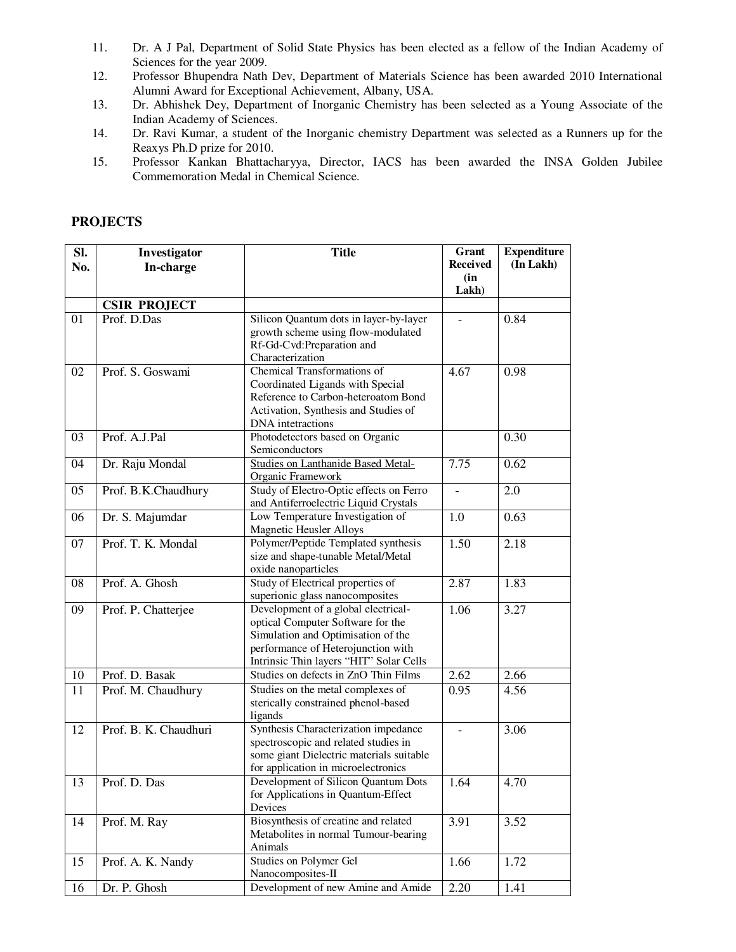- 11. Dr. A J Pal, Department of Solid State Physics has been elected as a fellow of the Indian Academy of Sciences for the year 2009.
- 12. Professor Bhupendra Nath Dev, Department of Materials Science has been awarded 2010 International Alumni Award for Exceptional Achievement, Albany, USA.
- 13. Dr. Abhishek Dey, Department of Inorganic Chemistry has been selected as a Young Associate of the Indian Academy of Sciences.
- 14. Dr. Ravi Kumar, a student of the Inorganic chemistry Department was selected as a Runners up for the Reaxys Ph.D prize for 2010.
- 15. Professor Kankan Bhattacharyya, Director, IACS has been awarded the INSA Golden Jubilee Commemoration Medal in Chemical Science.

| SI.             | Investigator          | <b>Title</b>                              | Grant           | <b>Expenditure</b> |
|-----------------|-----------------------|-------------------------------------------|-----------------|--------------------|
| No.             | In-charge             |                                           | <b>Received</b> | (In Lakh)          |
|                 |                       |                                           | (in             |                    |
|                 |                       |                                           | Lakh)           |                    |
|                 | <b>CSIR PROJECT</b>   |                                           |                 |                    |
| 01              | Prof. D.Das           | Silicon Quantum dots in layer-by-layer    |                 | 0.84               |
|                 |                       | growth scheme using flow-modulated        |                 |                    |
|                 |                       | Rf-Gd-Cvd:Preparation and                 |                 |                    |
|                 |                       | Characterization                          |                 |                    |
| 02              | Prof. S. Goswami      | Chemical Transformations of               | 4.67            | 0.98               |
|                 |                       | Coordinated Ligands with Special          |                 |                    |
|                 |                       | Reference to Carbon-heteroatom Bond       |                 |                    |
|                 |                       | Activation, Synthesis and Studies of      |                 |                    |
|                 |                       | DNA intetractions                         |                 |                    |
| 03              | Prof. A.J.Pal         | Photodetectors based on Organic           |                 | 0.30               |
|                 |                       | Semiconductors                            |                 |                    |
| 04              | Dr. Raju Mondal       | <b>Studies on Lanthanide Based Metal-</b> | 7.75            | 0.62               |
|                 |                       | <b>Organic Framework</b>                  |                 |                    |
| 05              | Prof. B.K.Chaudhury   | Study of Electro-Optic effects on Ferro   |                 | 2.0                |
|                 |                       | and Antiferroelectric Liquid Crystals     |                 |                    |
| 06              | Dr. S. Majumdar       | Low Temperature Investigation of          | 1.0             | 0.63               |
|                 |                       | <b>Magnetic Heusler Alloys</b>            |                 |                    |
| 07              | Prof. T. K. Mondal    | Polymer/Peptide Templated synthesis       | 1.50            | 2.18               |
|                 |                       | size and shape-tunable Metal/Metal        |                 |                    |
|                 |                       | oxide nanoparticles                       |                 |                    |
| 08              | Prof. A. Ghosh        | Study of Electrical properties of         | 2.87            | 1.83               |
|                 |                       | superionic glass nanocomposites           |                 |                    |
| 09              | Prof. P. Chatterjee   | Development of a global electrical-       | 1.06            | 3.27               |
|                 |                       | optical Computer Software for the         |                 |                    |
|                 |                       | Simulation and Optimisation of the        |                 |                    |
|                 |                       | performance of Heterojunction with        |                 |                    |
|                 |                       | Intrinsic Thin layers "HIT" Solar Cells   |                 |                    |
| 10              | Prof. D. Basak        | Studies on defects in ZnO Thin Films      | 2.62            | 2.66               |
| $\overline{11}$ | Prof. M. Chaudhury    | Studies on the metal complexes of         | 0.95            | 4.56               |
|                 |                       | sterically constrained phenol-based       |                 |                    |
|                 |                       | ligands                                   |                 |                    |
| 12              | Prof. B. K. Chaudhuri | Synthesis Characterization impedance      | $\overline{a}$  | 3.06               |
|                 |                       | spectroscopic and related studies in      |                 |                    |
|                 |                       | some giant Dielectric materials suitable  |                 |                    |
|                 |                       | for application in microelectronics       |                 |                    |
| 13              | Prof. D. Das          | Development of Silicon Quantum Dots       | 1.64            | 4.70               |
|                 |                       | for Applications in Quantum-Effect        |                 |                    |
|                 |                       | Devices                                   |                 |                    |
| 14              | Prof. M. Ray          | Biosynthesis of creatine and related      | 3.91            | 3.52               |
|                 |                       | Metabolites in normal Tumour-bearing      |                 |                    |
|                 |                       | Animals                                   |                 |                    |
| 15              | Prof. A. K. Nandy     | Studies on Polymer Gel                    | 1.66            | 1.72               |
|                 |                       | Nanocomposites-II                         |                 |                    |

16 Dr. P. Ghosh Development of new Amine and Amide 2.20 1.41

## **PROJECTS**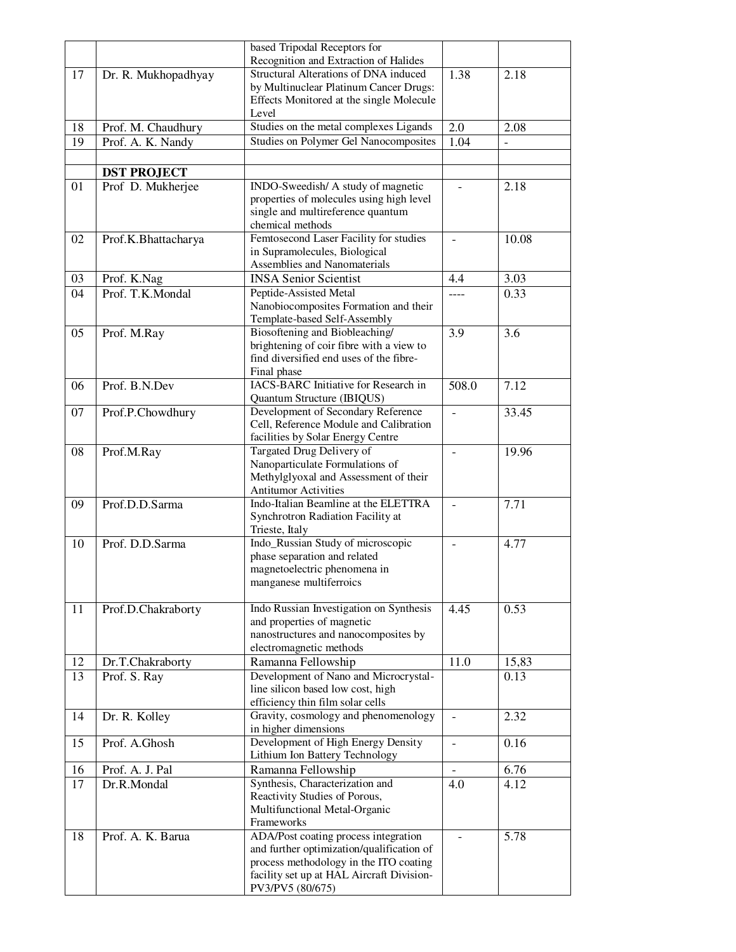|                 |                     | based Tripodal Receptors for                                                                                                       |                |                          |
|-----------------|---------------------|------------------------------------------------------------------------------------------------------------------------------------|----------------|--------------------------|
|                 |                     | Recognition and Extraction of Halides                                                                                              |                |                          |
| 17              | Dr. R. Mukhopadhyay | <b>Structural Alterations of DNA induced</b><br>by Multinuclear Platinum Cancer Drugs:<br>Effects Monitored at the single Molecule | 1.38           | 2.18                     |
|                 |                     | Level                                                                                                                              |                |                          |
| 18              | Prof. M. Chaudhury  | Studies on the metal complexes Ligands                                                                                             | 2.0            | 2.08                     |
| 19              | Prof. A. K. Nandy   | Studies on Polymer Gel Nanocomposites                                                                                              | 1.04           | $\overline{\phantom{0}}$ |
|                 |                     |                                                                                                                                    |                |                          |
|                 | <b>DST PROJECT</b>  |                                                                                                                                    |                |                          |
| 01              | Prof D. Mukherjee   | INDO-Sweedish/ A study of magnetic                                                                                                 |                | 2.18                     |
|                 |                     | properties of molecules using high level<br>single and multireference quantum                                                      |                |                          |
|                 |                     | chemical methods                                                                                                                   |                |                          |
| 02              | Prof.K.Bhattacharya | Femtosecond Laser Facility for studies                                                                                             | $\blacksquare$ | 10.08                    |
|                 |                     | in Supramolecules, Biological                                                                                                      |                |                          |
|                 |                     | Assemblies and Nanomaterials                                                                                                       |                |                          |
| 03              | Prof. K.Nag         | <b>INSA Senior Scientist</b>                                                                                                       | 4.4            | 3.03                     |
| $\overline{04}$ | Prof. T.K.Mondal    | Peptide-Assisted Metal<br>Nanobiocomposites Formation and their                                                                    | ----           | 0.33                     |
|                 |                     | Template-based Self-Assembly                                                                                                       |                |                          |
| 05              | Prof. M.Ray         | Biosoftening and Biobleaching/                                                                                                     | 3.9            | 3.6                      |
|                 |                     | brightening of coir fibre with a view to                                                                                           |                |                          |
|                 |                     | find diversified end uses of the fibre-                                                                                            |                |                          |
| 06              | Prof. B.N.Dev       | Final phase<br><b>IACS-BARC</b> Initiative for Research in                                                                         | 508.0          | 7.12                     |
|                 |                     | Quantum Structure (IBIQUS)                                                                                                         |                |                          |
| 07              | Prof.P.Chowdhury    | Development of Secondary Reference                                                                                                 | $\frac{1}{2}$  | 33.45                    |
|                 |                     | Cell, Reference Module and Calibration                                                                                             |                |                          |
|                 |                     | facilities by Solar Energy Centre                                                                                                  |                |                          |
| 08              | Prof.M.Ray          | Targated Drug Delivery of<br>Nanoparticulate Formulations of                                                                       |                | 19.96                    |
|                 |                     | Methylglyoxal and Assessment of their                                                                                              |                |                          |
|                 |                     | <b>Antitumor Activities</b>                                                                                                        |                |                          |
| 09              | Prof.D.D.Sarma      | Indo-Italian Beamline at the ELETTRA                                                                                               |                | 7.71                     |
|                 |                     | Synchrotron Radiation Facility at<br>Trieste, Italy                                                                                |                |                          |
| 10              | Prof. D.D.Sarma     | Indo_Russian Study of microscopic                                                                                                  |                | 4.77                     |
|                 |                     | phase separation and related                                                                                                       |                |                          |
|                 |                     | magnetoelectric phenomena in                                                                                                       |                |                          |
|                 |                     | manganese multiferroics                                                                                                            |                |                          |
| 11              | Prof.D.Chakraborty  | Indo Russian Investigation on Synthesis                                                                                            | 4.45           | 0.53                     |
|                 |                     | and properties of magnetic                                                                                                         |                |                          |
|                 |                     | nanostructures and nanocomposites by                                                                                               |                |                          |
|                 |                     | electromagnetic methods                                                                                                            |                |                          |
| 12              | Dr.T.Chakraborty    | Ramanna Fellowship<br>Development of Nano and Microcrystal-                                                                        | 11.0           | 15,83                    |
| 13              | Prof. S. Ray        | line silicon based low cost, high                                                                                                  |                | 0.13                     |
|                 |                     | efficiency thin film solar cells                                                                                                   |                |                          |
| 14              | Dr. R. Kolley       | Gravity, cosmology and phenomenology                                                                                               |                | 2.32                     |
|                 |                     | in higher dimensions                                                                                                               |                |                          |
| 15              | Prof. A.Ghosh       | Development of High Energy Density<br>Lithium Ion Battery Technology                                                               | $\blacksquare$ | 0.16                     |
| 16              | Prof. A. J. Pal     | Ramanna Fellowship                                                                                                                 |                | 6.76                     |
| 17              | Dr.R.Mondal         | Synthesis, Characterization and                                                                                                    | 4.0            | 4.12                     |
|                 |                     | Reactivity Studies of Porous,                                                                                                      |                |                          |
|                 |                     | Multifunctional Metal-Organic                                                                                                      |                |                          |
|                 |                     | Frameworks                                                                                                                         |                |                          |
| 18              | Prof. A. K. Barua   | ADA/Post coating process integration<br>and further optimization/qualification of                                                  |                | 5.78                     |
|                 |                     | process methodology in the ITO coating                                                                                             |                |                          |
|                 |                     | facility set up at HAL Aircraft Division-                                                                                          |                |                          |
|                 |                     | PV3/PV5 (80/675)                                                                                                                   |                |                          |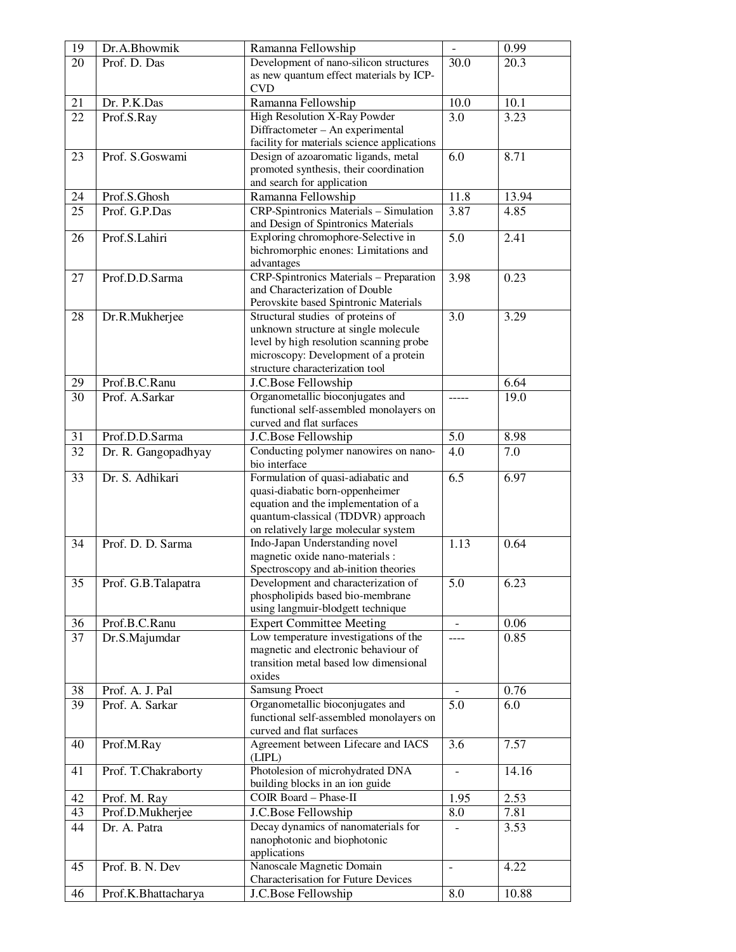| 19       | Dr.A.Bhowmik        | Ramanna Fellowship                                                            | $\overline{\phantom{a}}$ | 0.99        |
|----------|---------------------|-------------------------------------------------------------------------------|--------------------------|-------------|
| 20       | Prof. D. Das        | Development of nano-silicon structures                                        | 30.0                     | 20.3        |
|          |                     | as new quantum effect materials by ICP-                                       |                          |             |
|          |                     | <b>CVD</b>                                                                    |                          |             |
| 21       | Dr. P.K.Das         | Ramanna Fellowship                                                            | 10.0                     | 10.1        |
| 22       | Prof.S.Ray          | High Resolution X-Ray Powder                                                  | 3.0                      | 3.23        |
|          |                     | Diffractometer - An experimental                                              |                          |             |
|          |                     | facility for materials science applications                                   |                          |             |
| 23       | Prof. S.Goswami     | Design of azoaromatic ligands, metal                                          | 6.0                      | 8.71        |
|          |                     | promoted synthesis, their coordination                                        |                          |             |
| 24       | Prof.S.Ghosh        | and search for application                                                    | 11.8                     |             |
|          | Prof. G.P.Das       | Ramanna Fellowship                                                            |                          | 13.94       |
| 25       |                     | CRP-Spintronics Materials - Simulation<br>and Design of Spintronics Materials | 3.87                     | 4.85        |
| 26       | Prof.S.Lahiri       | Exploring chromophore-Selective in                                            | 5.0                      | 2.41        |
|          |                     | bichromorphic enones: Limitations and                                         |                          |             |
|          |                     | advantages                                                                    |                          |             |
| 27       | Prof.D.D.Sarma      | CRP-Spintronics Materials - Preparation                                       | 3.98                     | 0.23        |
|          |                     | and Characterization of Double                                                |                          |             |
|          |                     | Perovskite based Spintronic Materials                                         |                          |             |
| 28       | Dr.R.Mukherjee      | Structural studies of proteins of                                             | 3.0                      | 3.29        |
|          |                     | unknown structure at single molecule                                          |                          |             |
|          |                     | level by high resolution scanning probe                                       |                          |             |
|          |                     | microscopy: Development of a protein                                          |                          |             |
|          |                     | structure characterization tool                                               |                          |             |
| 29       | Prof.B.C.Ranu       | J.C.Bose Fellowship                                                           |                          | 6.64        |
| 30       | Prof. A.Sarkar      | Organometallic bioconjugates and                                              |                          | 19.0        |
|          |                     | functional self-assembled monolayers on                                       |                          |             |
|          |                     | curved and flat surfaces                                                      | 5.0                      |             |
| 31<br>32 | Prof.D.D.Sarma      | J.C.Bose Fellowship                                                           | 4.0                      | 8.98<br>7.0 |
|          | Dr. R. Gangopadhyay | Conducting polymer nanowires on nano-<br>bio interface                        |                          |             |
| 33       | Dr. S. Adhikari     | Formulation of quasi-adiabatic and                                            | 6.5                      | 6.97        |
|          |                     | quasi-diabatic born-oppenheimer                                               |                          |             |
|          |                     | equation and the implementation of a                                          |                          |             |
|          |                     | quantum-classical (TDDVR) approach                                            |                          |             |
|          |                     | on relatively large molecular system                                          |                          |             |
| 34       | Prof. D. D. Sarma   | Indo-Japan Understanding novel                                                | 1.13                     | 0.64        |
|          |                     | magnetic oxide nano-materials :                                               |                          |             |
|          |                     | Spectroscopy and ab-inition theories                                          |                          |             |
| 35       | Prof. G.B.Talapatra | Development and characterization of                                           | 5.0                      | 6.23        |
|          |                     | phospholipids based bio-membrane<br>using langmuir-blodgett technique         |                          |             |
| 36       | Prof.B.C.Ranu       | <b>Expert Committee Meeting</b>                                               |                          | 0.06        |
| 37       | Dr.S.Majumdar       | Low temperature investigations of the                                         | $---$                    | 0.85        |
|          |                     | magnetic and electronic behaviour of                                          |                          |             |
|          |                     | transition metal based low dimensional                                        |                          |             |
|          |                     | oxides                                                                        |                          |             |
| 38       | Prof. A. J. Pal     | <b>Samsung Proect</b>                                                         |                          | 0.76        |
| 39       | Prof. A. Sarkar     | Organometallic bioconjugates and                                              | 5.0                      | 6.0         |
|          |                     | functional self-assembled monolayers on                                       |                          |             |
|          |                     | curved and flat surfaces                                                      |                          |             |
| 40       | Prof.M.Ray          | Agreement between Lifecare and IACS                                           | 3.6                      | 7.57        |
|          |                     | (LIPL)                                                                        |                          |             |
| 41       | Prof. T.Chakraborty | Photolesion of microhydrated DNA                                              |                          | 14.16       |
|          |                     | building blocks in an ion guide                                               |                          |             |
| 42       | Prof. M. Ray        | COIR Board - Phase-II                                                         | 1.95                     | 2.53        |
| 43       | Prof.D.Mukherjee    | J.C.Bose Fellowship                                                           | 8.0                      | 7.81        |
| 44       | Dr. A. Patra        | Decay dynamics of nanomaterials for                                           |                          | 3.53        |
|          |                     | nanophotonic and biophotonic                                                  |                          |             |
| 45       | Prof. B. N. Dev     | applications<br>Nanoscale Magnetic Domain                                     | $\overline{\phantom{a}}$ | 4.22        |
|          |                     | Characterisation for Future Devices                                           |                          |             |
| 46       | Prof.K.Bhattacharya | J.C.Bose Fellowship                                                           | 8.0                      | 10.88       |
|          |                     |                                                                               |                          |             |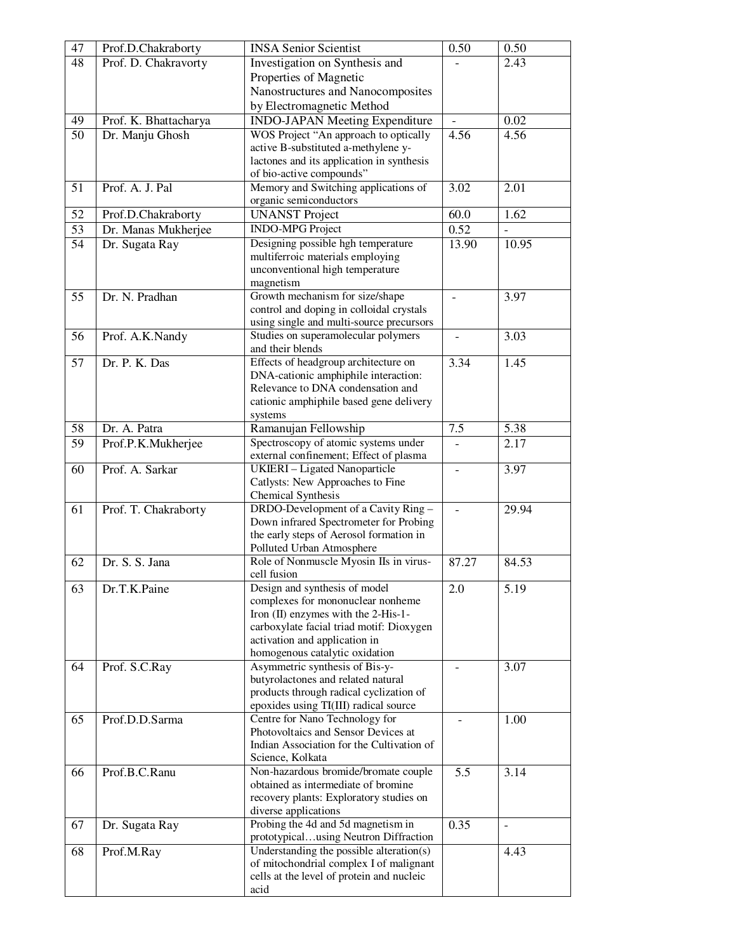| 47              | Prof.D.Chakraborty    | <b>INSA Senior Scientist</b>                                                   | 0.50           | 0.50                     |
|-----------------|-----------------------|--------------------------------------------------------------------------------|----------------|--------------------------|
| 48              | Prof. D. Chakravorty  | Investigation on Synthesis and                                                 |                | 2.43                     |
|                 |                       | Properties of Magnetic                                                         |                |                          |
|                 |                       | Nanostructures and Nanocomposites                                              |                |                          |
|                 |                       | by Electromagnetic Method                                                      |                |                          |
| 49              | Prof. K. Bhattacharya | <b>INDO-JAPAN Meeting Expenditure</b>                                          |                | 0.02                     |
| $\overline{50}$ | Dr. Manju Ghosh       | WOS Project "An approach to optically                                          | 4.56           | 4.56                     |
|                 |                       | active B-substituted a-methylene y-                                            |                |                          |
|                 |                       | lactones and its application in synthesis                                      |                |                          |
|                 |                       | of bio-active compounds"                                                       |                |                          |
| 51              | Prof. A. J. Pal       | Memory and Switching applications of                                           | 3.02           | 2.01                     |
|                 |                       | organic semiconductors                                                         |                |                          |
| 52              | Prof.D.Chakraborty    | <b>UNANST Project</b>                                                          | 60.0           | 1.62                     |
| 53              | Dr. Manas Mukherjee   | <b>INDO-MPG Project</b>                                                        | 0.52           | $\overline{a}$           |
| 54              | Dr. Sugata Ray        | Designing possible hgh temperature                                             | 13.90          | 10.95                    |
|                 |                       | multiferroic materials employing<br>unconventional high temperature            |                |                          |
|                 |                       | magnetism                                                                      |                |                          |
| 55              | Dr. N. Pradhan        | Growth mechanism for size/shape                                                | $\blacksquare$ | 3.97                     |
|                 |                       | control and doping in colloidal crystals                                       |                |                          |
|                 |                       | using single and multi-source precursors                                       |                |                          |
| 56              | Prof. A.K.Nandy       | Studies on superamolecular polymers                                            |                | 3.03                     |
|                 |                       | and their blends                                                               |                |                          |
| 57              | Dr. P. K. Das         | Effects of headgroup architecture on                                           | 3.34           | 1.45                     |
|                 |                       | DNA-cationic amphiphile interaction:                                           |                |                          |
|                 |                       | Relevance to DNA condensation and                                              |                |                          |
|                 |                       | cationic amphiphile based gene delivery                                        |                |                          |
|                 |                       | systems                                                                        |                |                          |
| 58              | Dr. A. Patra          | Ramanujan Fellowship                                                           | 7.5            | 5.38                     |
| 59              | Prof.P.K.Mukherjee    | Spectroscopy of atomic systems under                                           |                | 2.17                     |
| 60              | Prof. A. Sarkar       | external confinement; Effect of plasma<br><b>UKIERI</b> - Ligated Nanoparticle |                |                          |
|                 |                       | Catlysts: New Approaches to Fine                                               |                | 3.97                     |
|                 |                       | Chemical Synthesis                                                             |                |                          |
| 61              | Prof. T. Chakraborty  | DRDO-Development of a Cavity Ring -                                            |                | 29.94                    |
|                 |                       | Down infrared Spectrometer for Probing                                         |                |                          |
|                 |                       | the early steps of Aerosol formation in                                        |                |                          |
|                 |                       | Polluted Urban Atmosphere                                                      |                |                          |
| 62              | Dr. S. S. Jana        | Role of Nonmuscle Myosin IIs in virus-                                         | 87.27          | 84.53                    |
|                 |                       | cell fusion                                                                    |                |                          |
| 63              | Dr.T.K.Paine          | Design and synthesis of model                                                  | 2.0            | 5.19                     |
|                 |                       | complexes for mononuclear nonheme<br>Iron (II) enzymes with the 2-His-1-       |                |                          |
|                 |                       | carboxylate facial triad motif: Dioxygen                                       |                |                          |
|                 |                       | activation and application in                                                  |                |                          |
|                 |                       | homogenous catalytic oxidation                                                 |                |                          |
| 64              | Prof. S.C.Ray         | Asymmetric synthesis of Bis-y-                                                 |                | 3.07                     |
|                 |                       | butyrolactones and related natural                                             |                |                          |
|                 |                       | products through radical cyclization of                                        |                |                          |
|                 |                       | epoxides using TI(III) radical source                                          |                |                          |
| 65              | Prof.D.D.Sarma        | Centre for Nano Technology for                                                 |                | 1.00                     |
|                 |                       | Photovoltaics and Sensor Devices at                                            |                |                          |
|                 |                       | Indian Association for the Cultivation of                                      |                |                          |
|                 |                       | Science, Kolkata<br>Non-hazardous bromide/bromate couple                       |                |                          |
| 66              | Prof.B.C.Ranu         | obtained as intermediate of bromine                                            | 5.5            | 3.14                     |
|                 |                       | recovery plants: Exploratory studies on                                        |                |                          |
|                 |                       | diverse applications                                                           |                |                          |
| 67              | Dr. Sugata Ray        | Probing the 4d and 5d magnetism in                                             | 0.35           | $\overline{\phantom{a}}$ |
|                 |                       | prototypicalusing Neutron Diffraction                                          |                |                          |
| 68              | Prof.M.Ray            | Understanding the possible alteration(s)                                       |                | 4.43                     |
|                 |                       | of mitochondrial complex I of malignant                                        |                |                          |
|                 |                       | cells at the level of protein and nucleic                                      |                |                          |
|                 |                       | acid                                                                           |                |                          |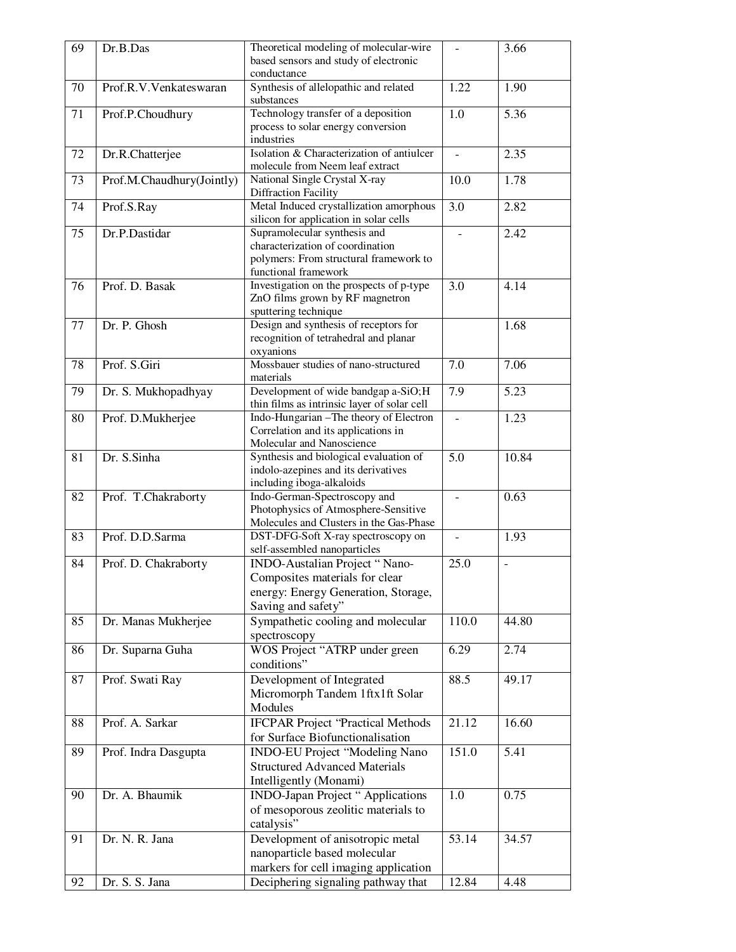| 69 | Dr.B.Das                  | Theoretical modeling of molecular-wire                                        |                | 3.66           |
|----|---------------------------|-------------------------------------------------------------------------------|----------------|----------------|
|    |                           | based sensors and study of electronic                                         |                |                |
|    |                           | conductance                                                                   |                |                |
| 70 | Prof.R.V.Venkateswaran    | Synthesis of allelopathic and related                                         | 1.22           | 1.90           |
|    |                           | substances                                                                    |                |                |
| 71 | Prof.P.Choudhury          | Technology transfer of a deposition                                           | 1.0            | 5.36           |
|    |                           | process to solar energy conversion                                            |                |                |
|    |                           | industries                                                                    |                |                |
| 72 | Dr.R.Chatterjee           | Isolation & Characterization of antiulcer<br>molecule from Neem leaf extract  | $\overline{a}$ | 2.35           |
| 73 |                           | National Single Crystal X-ray                                                 | 10.0           | 1.78           |
|    | Prof.M.Chaudhury(Jointly) | <b>Diffraction Facility</b>                                                   |                |                |
| 74 | Prof.S.Ray                | Metal Induced crystallization amorphous                                       | 3.0            | 2.82           |
|    |                           | silicon for application in solar cells                                        |                |                |
| 75 | Dr.P.Dastidar             | Supramolecular synthesis and                                                  |                | 2.42           |
|    |                           | characterization of coordination                                              |                |                |
|    |                           | polymers: From structural framework to                                        |                |                |
|    |                           | functional framework                                                          |                |                |
| 76 | Prof. D. Basak            | Investigation on the prospects of p-type                                      | 3.0            | 4.14           |
|    |                           | ZnO films grown by RF magnetron                                               |                |                |
|    |                           | sputtering technique                                                          |                |                |
| 77 | Dr. P. Ghosh              | Design and synthesis of receptors for                                         |                | 1.68           |
|    |                           | recognition of tetrahedral and planar                                         |                |                |
|    |                           | oxyanions<br>Mossbauer studies of nano-structured                             |                |                |
| 78 | Prof. S.Giri              | materials                                                                     | 7.0            | 7.06           |
| 79 | Dr. S. Mukhopadhyay       | Development of wide bandgap a-SiO;H                                           | 7.9            | 5.23           |
|    |                           | thin films as intrinsic layer of solar cell                                   |                |                |
| 80 | Prof. D.Mukherjee         | Indo-Hungarian - The theory of Electron                                       |                | 1.23           |
|    |                           | Correlation and its applications in                                           |                |                |
|    |                           | Molecular and Nanoscience                                                     |                |                |
| 81 | Dr. S.Sinha               | Synthesis and biological evaluation of                                        | 5.0            | 10.84          |
|    |                           | indolo-azepines and its derivatives                                           |                |                |
|    |                           | including iboga-alkaloids                                                     |                |                |
| 82 | Prof. T.Chakraborty       | Indo-German-Spectroscopy and                                                  |                | 0.63           |
|    |                           | Photophysics of Atmosphere-Sensitive                                          |                |                |
| 83 | Prof. D.D.Sarma           | Molecules and Clusters in the Gas-Phase<br>DST-DFG-Soft X-ray spectroscopy on |                | 1.93           |
|    |                           | self-assembled nanoparticles                                                  |                |                |
| 84 | Prof. D. Chakraborty      | <b>INDO-Austalian Project "Nano-</b>                                          | 25.0           | $\overline{a}$ |
|    |                           | Composites materials for clear                                                |                |                |
|    |                           | energy: Energy Generation, Storage,                                           |                |                |
|    |                           | Saving and safety"                                                            |                |                |
| 85 | Dr. Manas Mukherjee       | Sympathetic cooling and molecular                                             | 110.0          | 44.80          |
|    |                           | spectroscopy                                                                  |                |                |
| 86 | Dr. Suparna Guha          | WOS Project "ATRP under green                                                 | 6.29           | 2.74           |
|    |                           | conditions"                                                                   |                |                |
| 87 | Prof. Swati Ray           | Development of Integrated                                                     | 88.5           | 49.17          |
|    |                           | Micromorph Tandem 1ftx1ft Solar                                               |                |                |
|    |                           | Modules                                                                       |                |                |
| 88 | Prof. A. Sarkar           | <b>IFCPAR Project 'Practical Methods</b>                                      | 21.12          | 16.60          |
|    |                           | for Surface Biofunctionalisation                                              |                |                |
| 89 | Prof. Indra Dasgupta      | <b>INDO-EU Project "Modeling Nano</b>                                         | 151.0          | 5.41           |
|    |                           | <b>Structured Advanced Materials</b>                                          |                |                |
|    |                           | Intelligently (Monami)                                                        |                |                |
| 90 | Dr. A. Bhaumik            | <b>INDO-Japan Project " Applications</b>                                      | 1.0            | 0.75           |
|    |                           | of mesoporous zeolitic materials to                                           |                |                |
|    |                           | catalysis"                                                                    |                |                |
| 91 | Dr. N. R. Jana            | Development of anisotropic metal                                              | 53.14          | 34.57          |
|    |                           | nanoparticle based molecular                                                  |                |                |
|    |                           | markers for cell imaging application                                          |                |                |
| 92 | Dr. S. S. Jana            | Deciphering signaling pathway that                                            | 12.84          | 4.48           |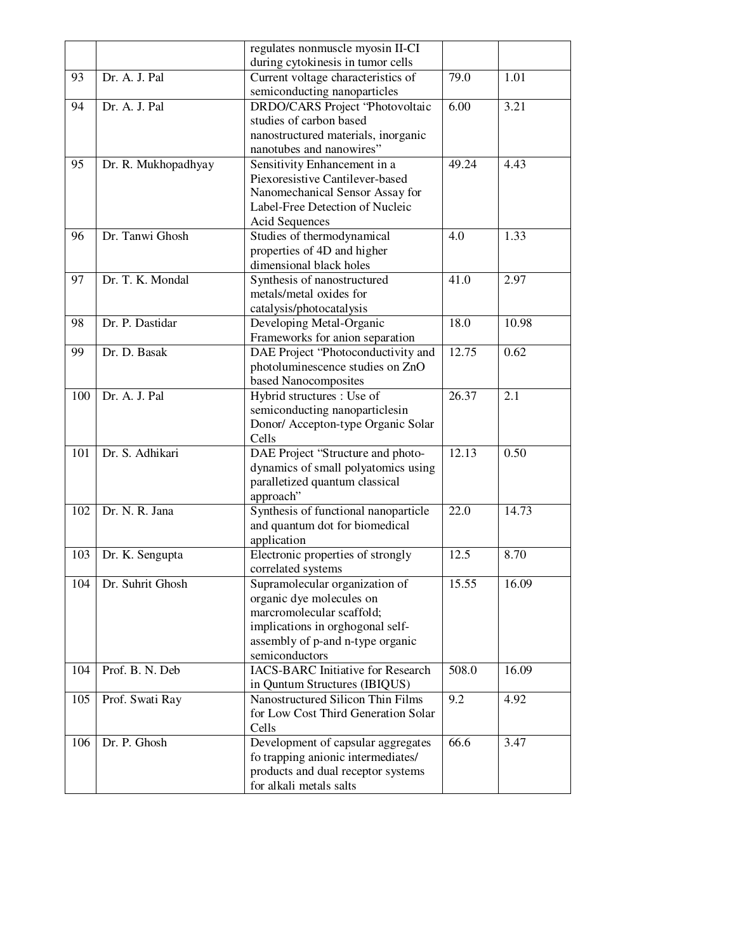|     |                     | regulates nonmuscle myosin II-CI         |       |       |
|-----|---------------------|------------------------------------------|-------|-------|
|     |                     | during cytokinesis in tumor cells        |       |       |
| 93  | Dr. A. J. Pal       | Current voltage characteristics of       | 79.0  | 1.01  |
|     |                     | semiconducting nanoparticles             |       |       |
| 94  | Dr. A. J. Pal       | <b>DRDO/CARS Project "Photovoltaic</b>   | 6.00  | 3.21  |
|     |                     | studies of carbon based                  |       |       |
|     |                     | nanostructured materials, inorganic      |       |       |
|     |                     | nanotubes and nanowires"                 |       |       |
| 95  | Dr. R. Mukhopadhyay | Sensitivity Enhancement in a             | 49.24 | 4.43  |
|     |                     | Piexoresistive Cantilever-based          |       |       |
|     |                     | Nanomechanical Sensor Assay for          |       |       |
|     |                     | Label-Free Detection of Nucleic          |       |       |
|     |                     | <b>Acid Sequences</b>                    |       |       |
| 96  | Dr. Tanwi Ghosh     | Studies of thermodynamical               | 4.0   | 1.33  |
|     |                     | properties of 4D and higher              |       |       |
|     |                     | dimensional black holes                  |       |       |
| 97  | Dr. T. K. Mondal    | Synthesis of nanostructured              | 41.0  | 2.97  |
|     |                     | metals/metal oxides for                  |       |       |
|     |                     | catalysis/photocatalysis                 |       |       |
| 98  | Dr. P. Dastidar     | Developing Metal-Organic                 | 18.0  | 10.98 |
|     |                     | Frameworks for anion separation          |       |       |
| 99  | Dr. D. Basak        | DAE Project "Photoconductivity and       | 12.75 | 0.62  |
|     |                     | photoluminescence studies on ZnO         |       |       |
|     |                     | based Nanocomposites                     |       |       |
| 100 | Dr. A. J. Pal       | Hybrid structures : Use of               | 26.37 | 2.1   |
|     |                     | semiconducting nanoparticlesin           |       |       |
|     |                     | Donor/ Accepton-type Organic Solar       |       |       |
|     |                     | Cells                                    |       |       |
| 101 | Dr. S. Adhikari     | DAE Project "Structure and photo-        | 12.13 | 0.50  |
|     |                     | dynamics of small polyatomics using      |       |       |
|     |                     | paralletized quantum classical           |       |       |
|     |                     | approach"                                |       |       |
| 102 | Dr. N. R. Jana      | Synthesis of functional nanoparticle     | 22.0  | 14.73 |
|     |                     | and quantum dot for biomedical           |       |       |
|     |                     | application                              |       |       |
| 103 | Dr. K. Sengupta     | Electronic properties of strongly        | 12.5  | 8.70  |
|     |                     | correlated systems                       |       |       |
| 104 | Dr. Suhrit Ghosh    | Supramolecular organization of           | 15.55 | 16.09 |
|     |                     | organic dye molecules on                 |       |       |
|     |                     | marcromolecular scaffold;                |       |       |
|     |                     | implications in orghogonal self-         |       |       |
|     |                     | assembly of p-and n-type organic         |       |       |
|     |                     | semiconductors                           |       |       |
| 104 | Prof. B. N. Deb     | <b>IACS-BARC Initiative for Research</b> | 508.0 | 16.09 |
|     |                     | in Quntum Structures (IBIQUS)            |       |       |
| 105 | Prof. Swati Ray     | Nanostructured Silicon Thin Films        | 9.2   | 4.92  |
|     |                     | for Low Cost Third Generation Solar      |       |       |
|     |                     | Cells                                    |       |       |
| 106 | Dr. P. Ghosh        | Development of capsular aggregates       | 66.6  | 3.47  |
|     |                     | fo trapping anionic intermediates/       |       |       |
|     |                     | products and dual receptor systems       |       |       |
|     |                     | for alkali metals salts                  |       |       |